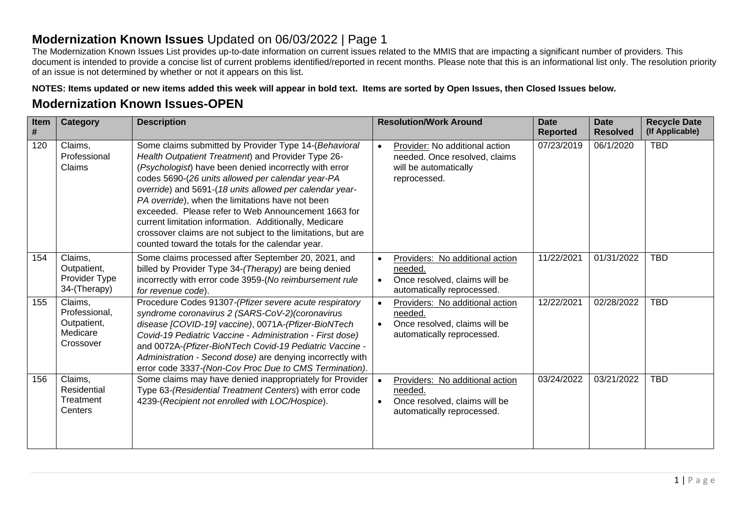## **Modernization Known Issues** Updated on 06/03/2022 | Page 1

The Modernization Known Issues List provides up-to-date information on current issues related to the MMIS that are impacting a significant number of providers. This document is intended to provide a concise list of current problems identified/reported in recent months. Please note that this is an informational list only. The resolution priority of an issue is not determined by whether or not it appears on this list.

**NOTES: Items updated or new items added this week will appear in bold text. Items are sorted by Open Issues, then Closed Issues below.** 

## **Modernization Known Issues-OPEN**

| Item<br># | <b>Category</b>                                                  | <b>Description</b>                                                                                                                                                                                                                                                                                                                                                                                                                                                                                                                                                             |                        | <b>Resolution/Work Around</b>                                                                             | <b>Date</b><br><b>Reported</b> | <b>Date</b><br><b>Resolved</b> | <b>Recycle Date</b><br>(If Applicable) |
|-----------|------------------------------------------------------------------|--------------------------------------------------------------------------------------------------------------------------------------------------------------------------------------------------------------------------------------------------------------------------------------------------------------------------------------------------------------------------------------------------------------------------------------------------------------------------------------------------------------------------------------------------------------------------------|------------------------|-----------------------------------------------------------------------------------------------------------|--------------------------------|--------------------------------|----------------------------------------|
| 120       | Claims,<br>Professional<br>Claims                                | Some claims submitted by Provider Type 14-(Behavioral<br>Health Outpatient Treatment) and Provider Type 26-<br>(Psychologist) have been denied incorrectly with error<br>codes 5690-(26 units allowed per calendar year-PA<br>override) and 5691-(18 units allowed per calendar year-<br>PA override), when the limitations have not been<br>exceeded. Please refer to Web Announcement 1663 for<br>current limitation information. Additionally, Medicare<br>crossover claims are not subject to the limitations, but are<br>counted toward the totals for the calendar year. | $\bullet$              | Provider: No additional action<br>needed. Once resolved, claims<br>will be automatically<br>reprocessed.  | 07/23/2019                     | 06/1/2020                      | <b>TBD</b>                             |
| 154       | Claims,<br>Outpatient,<br>Provider Type<br>34-(Therapy)          | Some claims processed after September 20, 2021, and<br>billed by Provider Type 34-(Therapy) are being denied<br>incorrectly with error code 3959-(No reimbursement rule<br>for revenue code).                                                                                                                                                                                                                                                                                                                                                                                  | $\bullet$<br>$\bullet$ | Providers: No additional action<br>needed.<br>Once resolved, claims will be<br>automatically reprocessed. | 11/22/2021                     | 01/31/2022                     | <b>TBD</b>                             |
| 155       | Claims,<br>Professional,<br>Outpatient,<br>Medicare<br>Crossover | Procedure Codes 91307-(Pfizer severe acute respiratory<br>syndrome coronavirus 2 (SARS-CoV-2)(coronavirus<br>disease [COVID-19] vaccine), 0071A-(Pfizer-BioNTech<br>Covid-19 Pediatric Vaccine - Administration - First dose)<br>and 0072A-(Pfizer-BioNTech Covid-19 Pediatric Vaccine -<br>Administration - Second dose) are denying incorrectly with<br>error code 3337-(Non-Cov Proc Due to CMS Termination).                                                                                                                                                               | $\bullet$<br>$\bullet$ | Providers: No additional action<br>needed.<br>Once resolved, claims will be<br>automatically reprocessed. | 12/22/2021                     | 02/28/2022                     | <b>TBD</b>                             |
| 156       | Claims,<br>Residential<br>Treatment<br>Centers                   | Some claims may have denied inappropriately for Provider<br>Type 63-(Residential Treatment Centers) with error code<br>4239-(Recipient not enrolled with LOC/Hospice).                                                                                                                                                                                                                                                                                                                                                                                                         | $\bullet$<br>$\bullet$ | Providers: No additional action<br>needed.<br>Once resolved, claims will be<br>automatically reprocessed. | 03/24/2022                     | 03/21/2022                     | <b>TBD</b>                             |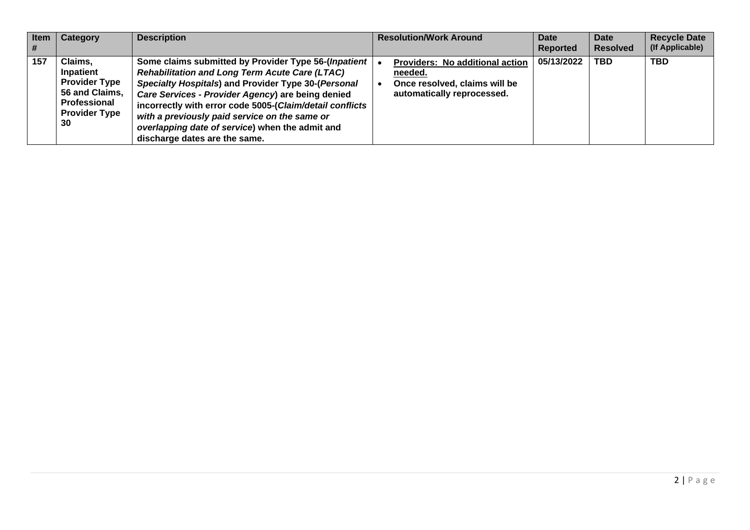| <b>Item</b><br>l # | Category                                                                                                     | <b>Description</b>                                                                                                                                                                                                                                                                                                                                                                                                         | <b>Resolution/Work Around</b>                                                                             | Date<br>Reported | Date<br><b>Resolved</b> | <b>Recycle Date</b><br>(If Applicable) |
|--------------------|--------------------------------------------------------------------------------------------------------------|----------------------------------------------------------------------------------------------------------------------------------------------------------------------------------------------------------------------------------------------------------------------------------------------------------------------------------------------------------------------------------------------------------------------------|-----------------------------------------------------------------------------------------------------------|------------------|-------------------------|----------------------------------------|
| 157                | Claims,<br>Inpatient<br><b>Provider Type</b><br>56 and Claims,<br>Professional<br><b>Provider Type</b><br>30 | Some claims submitted by Provider Type 56-(Inpatient<br><b>Rehabilitation and Long Term Acute Care (LTAC)</b><br>Specialty Hospitals) and Provider Type 30-(Personal<br>Care Services - Provider Agency) are being denied<br>incorrectly with error code 5005-(Claim/detail conflicts<br>with a previously paid service on the same or<br>overlapping date of service) when the admit and<br>discharge dates are the same. | Providers: No additional action<br>needed.<br>Once resolved, claims will be<br>automatically reprocessed. | 05/13/2022       | <b>TBD</b>              | <b>TBD</b>                             |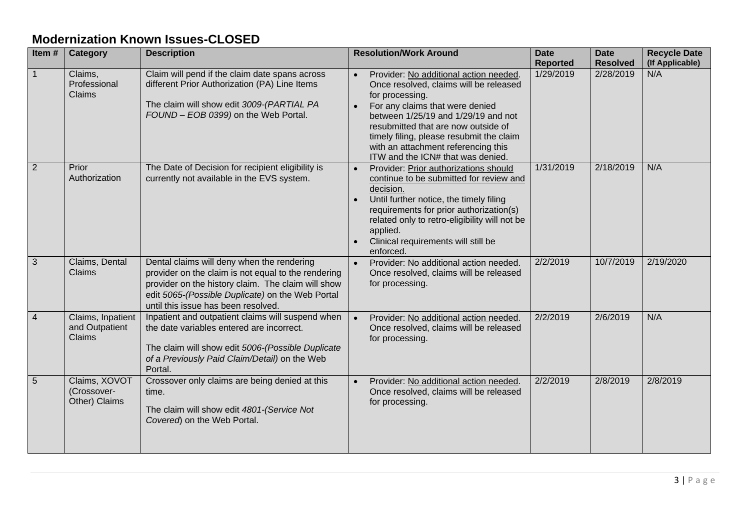## **Modernization Known Issues-CLOSED**

| Item#          | <b>Category</b>                               | <b>Description</b>                                                                                                                                                                                                                                 | <b>Resolution/Work Around</b>                                                                                                                                                                                                                                                                                                                | <b>Date</b><br><b>Reported</b> | <b>Date</b><br><b>Resolved</b> | <b>Recycle Date</b><br>(If Applicable) |
|----------------|-----------------------------------------------|----------------------------------------------------------------------------------------------------------------------------------------------------------------------------------------------------------------------------------------------------|----------------------------------------------------------------------------------------------------------------------------------------------------------------------------------------------------------------------------------------------------------------------------------------------------------------------------------------------|--------------------------------|--------------------------------|----------------------------------------|
|                | Claims,<br>Professional<br>Claims             | Claim will pend if the claim date spans across<br>different Prior Authorization (PA) Line Items<br>The claim will show edit 3009-(PARTIAL PA<br>FOUND - EOB 0399) on the Web Portal.                                                               | Provider: No additional action needed.<br>Once resolved, claims will be released<br>for processing.<br>For any claims that were denied<br>between 1/25/19 and 1/29/19 and not<br>resubmitted that are now outside of<br>timely filing, please resubmit the claim<br>with an attachment referencing this<br>ITW and the ICN# that was denied. | 1/29/2019                      | 2/28/2019                      | N/A                                    |
| 2              | Prior<br>Authorization                        | The Date of Decision for recipient eligibility is<br>currently not available in the EVS system.                                                                                                                                                    | Provider: Prior authorizations should<br>continue to be submitted for review and<br>decision.<br>Until further notice, the timely filing<br>requirements for prior authorization(s)<br>related only to retro-eligibility will not be<br>applied.<br>Clinical requirements will still be<br>enforced.                                         | 1/31/2019                      | 2/18/2019                      | N/A                                    |
| $\mathbf{3}$   | Claims, Dental<br>Claims                      | Dental claims will deny when the rendering<br>provider on the claim is not equal to the rendering<br>provider on the history claim. The claim will show<br>edit 5065-(Possible Duplicate) on the Web Portal<br>until this issue has been resolved. | Provider: No additional action needed.<br>$\bullet$<br>Once resolved, claims will be released<br>for processing.                                                                                                                                                                                                                             | 2/2/2019                       | 10/7/2019                      | 2/19/2020                              |
| $\overline{4}$ | Claims, Inpatient<br>and Outpatient<br>Claims | Inpatient and outpatient claims will suspend when<br>the date variables entered are incorrect.<br>The claim will show edit 5006-(Possible Duplicate<br>of a Previously Paid Claim/Detail) on the Web<br>Portal.                                    | Provider: No additional action needed.<br>$\bullet$<br>Once resolved, claims will be released<br>for processing.                                                                                                                                                                                                                             | 2/2/2019                       | 2/6/2019                       | N/A                                    |
| 5              | Claims, XOVOT<br>(Crossover-<br>Other) Claims | Crossover only claims are being denied at this<br>time.<br>The claim will show edit 4801-(Service Not<br>Covered) on the Web Portal.                                                                                                               | Provider: No additional action needed.<br>$\bullet$<br>Once resolved, claims will be released<br>for processing.                                                                                                                                                                                                                             | 2/2/2019                       | 2/8/2019                       | 2/8/2019                               |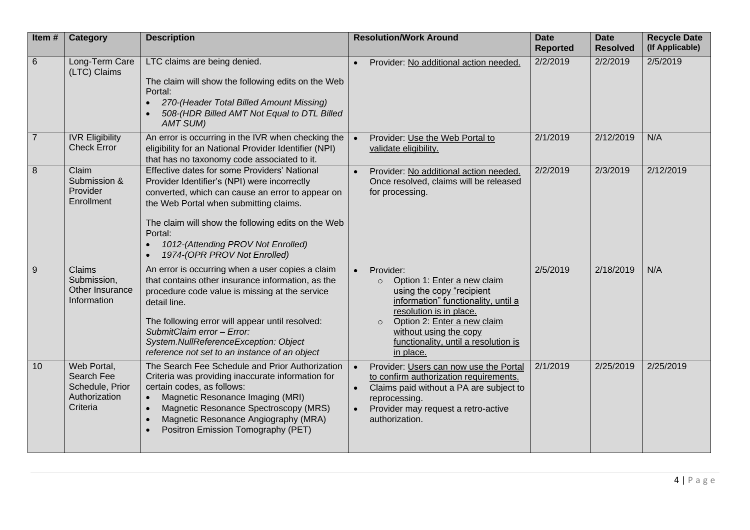| Item#          | <b>Category</b>                                                           | <b>Description</b>                                                                                                                                                                                                                                                                                                                                 | <b>Resolution/Work Around</b>                                                                                                                                                                                                                                                            | <b>Date</b><br><b>Reported</b> | <b>Date</b><br><b>Resolved</b> | <b>Recycle Date</b><br>(If Applicable) |
|----------------|---------------------------------------------------------------------------|----------------------------------------------------------------------------------------------------------------------------------------------------------------------------------------------------------------------------------------------------------------------------------------------------------------------------------------------------|------------------------------------------------------------------------------------------------------------------------------------------------------------------------------------------------------------------------------------------------------------------------------------------|--------------------------------|--------------------------------|----------------------------------------|
| 6              | Long-Term Care<br>(LTC) Claims                                            | LTC claims are being denied.<br>The claim will show the following edits on the Web<br>Portal:<br>270-(Header Total Billed Amount Missing)<br>508-(HDR Billed AMT Not Equal to DTL Billed<br><b>AMT SUM)</b>                                                                                                                                        | Provider: No additional action needed.<br>$\bullet$                                                                                                                                                                                                                                      | 2/2/2019                       | 2/2/2019                       | 2/5/2019                               |
| $\overline{7}$ | <b>IVR Eligibility</b><br><b>Check Error</b>                              | An error is occurring in the IVR when checking the<br>eligibility for an National Provider Identifier (NPI)<br>that has no taxonomy code associated to it.                                                                                                                                                                                         | Provider: Use the Web Portal to<br>validate eligibility.                                                                                                                                                                                                                                 | 2/1/2019                       | 2/12/2019                      | N/A                                    |
| 8              | Claim<br>Submission &<br>Provider<br>Enrollment                           | Effective dates for some Providers' National<br>Provider Identifier's (NPI) were incorrectly<br>converted, which can cause an error to appear on<br>the Web Portal when submitting claims.<br>The claim will show the following edits on the Web<br>Portal:<br>1012-(Attending PROV Not Enrolled)<br>1974-(OPR PROV Not Enrolled)                  | Provider: No additional action needed.<br>Once resolved, claims will be released<br>for processing.                                                                                                                                                                                      | 2/2/2019                       | 2/3/2019                       | 2/12/2019                              |
| $9$            | Claims<br>Submission,<br>Other Insurance<br>Information                   | An error is occurring when a user copies a claim<br>that contains other insurance information, as the<br>procedure code value is missing at the service<br>detail line.<br>The following error will appear until resolved:<br>SubmitClaim error - Error:<br>System.NullReferenceException: Object<br>reference not set to an instance of an object | Provider:<br>$\bullet$<br>Option 1: Enter a new claim<br>$\circ$<br>using the copy "recipient<br>information" functionality, until a<br>resolution is in place.<br>Option 2: Enter a new claim<br>$\circ$<br>without using the copy<br>functionality, until a resolution is<br>in place. | 2/5/2019                       | 2/18/2019                      | N/A                                    |
| 10             | Web Portal,<br>Search Fee<br>Schedule, Prior<br>Authorization<br>Criteria | The Search Fee Schedule and Prior Authorization<br>Criteria was providing inaccurate information for<br>certain codes, as follows:<br>Magnetic Resonance Imaging (MRI)<br>Magnetic Resonance Spectroscopy (MRS)<br>$\bullet$<br>Magnetic Resonance Angiography (MRA)<br>Positron Emission Tomography (PET)                                         | Provider: Users can now use the Portal<br>$\bullet$<br>to confirm authorization requirements.<br>Claims paid without a PA are subject to<br>reprocessing.<br>Provider may request a retro-active<br>authorization.                                                                       | 2/1/2019                       | 2/25/2019                      | 2/25/2019                              |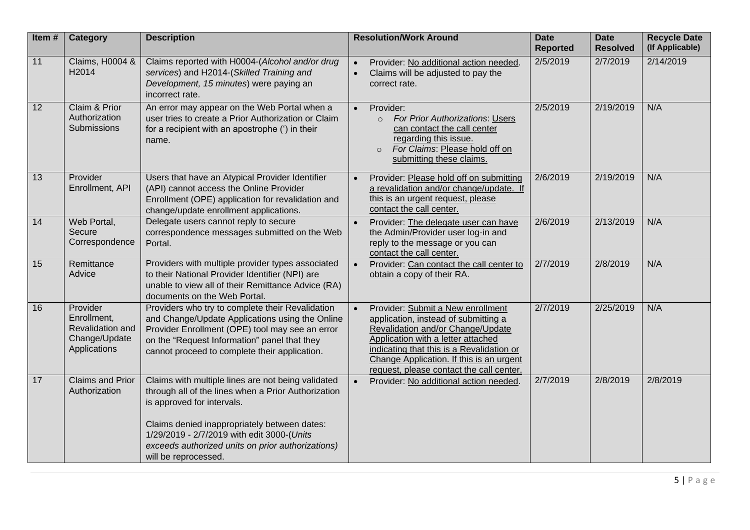| Item# | <b>Category</b>                                                              | <b>Description</b>                                                                                                                                                                                                                                                                                                 | <b>Resolution/Work Around</b>                                                                                                                                                                                                                                                             | <b>Date</b><br><b>Reported</b> | <b>Date</b><br><b>Resolved</b> | <b>Recycle Date</b><br>(If Applicable) |
|-------|------------------------------------------------------------------------------|--------------------------------------------------------------------------------------------------------------------------------------------------------------------------------------------------------------------------------------------------------------------------------------------------------------------|-------------------------------------------------------------------------------------------------------------------------------------------------------------------------------------------------------------------------------------------------------------------------------------------|--------------------------------|--------------------------------|----------------------------------------|
| 11    | <b>Claims, H0004 &amp;</b><br>H2014                                          | Claims reported with H0004-(Alcohol and/or drug<br>services) and H2014-(Skilled Training and<br>Development, 15 minutes) were paying an<br>incorrect rate.                                                                                                                                                         | Provider: No additional action needed.<br>Claims will be adjusted to pay the<br>$\bullet$<br>correct rate.                                                                                                                                                                                | 2/5/2019                       | 2/7/2019                       | 2/14/2019                              |
| 12    | Claim & Prior<br>Authorization<br><b>Submissions</b>                         | An error may appear on the Web Portal when a<br>user tries to create a Prior Authorization or Claim<br>for a recipient with an apostrophe (') in their<br>name.                                                                                                                                                    | Provider:<br>$\bullet$<br>For Prior Authorizations: Users<br>$\circ$<br>can contact the call center<br>regarding this issue.<br>For Claims: Please hold off on<br>submitting these claims.                                                                                                | 2/5/2019                       | 2/19/2019                      | N/A                                    |
| 13    | Provider<br>Enrollment, API                                                  | Users that have an Atypical Provider Identifier<br>(API) cannot access the Online Provider<br>Enrollment (OPE) application for revalidation and<br>change/update enrollment applications.                                                                                                                          | Provider: Please hold off on submitting<br>a revalidation and/or change/update. If<br>this is an urgent request, please<br>contact the call center.                                                                                                                                       | 2/6/2019                       | 2/19/2019                      | N/A                                    |
| 14    | Web Portal,<br>Secure<br>Correspondence                                      | Delegate users cannot reply to secure<br>correspondence messages submitted on the Web<br>Portal.                                                                                                                                                                                                                   | Provider: The delegate user can have<br>the Admin/Provider user log-in and<br>reply to the message or you can<br>contact the call center.                                                                                                                                                 | 2/6/2019                       | 2/13/2019                      | N/A                                    |
| 15    | Remittance<br>Advice                                                         | Providers with multiple provider types associated<br>to their National Provider Identifier (NPI) are<br>unable to view all of their Remittance Advice (RA)<br>documents on the Web Portal.                                                                                                                         | Provider: Can contact the call center to<br>obtain a copy of their RA.                                                                                                                                                                                                                    | 2/7/2019                       | 2/8/2019                       | N/A                                    |
| 16    | Provider<br>Enrollment,<br>Revalidation and<br>Change/Update<br>Applications | Providers who try to complete their Revalidation<br>and Change/Update Applications using the Online<br>Provider Enrollment (OPE) tool may see an error<br>on the "Request Information" panel that they<br>cannot proceed to complete their application.                                                            | Provider: Submit a New enrollment<br>application, instead of submitting a<br>Revalidation and/or Change/Update<br>Application with a letter attached<br>indicating that this is a Revalidation or<br>Change Application. If this is an urgent<br>request, please contact the call center. | 2/7/2019                       | 2/25/2019                      | N/A                                    |
| 17    | <b>Claims and Prior</b><br>Authorization                                     | Claims with multiple lines are not being validated<br>through all of the lines when a Prior Authorization<br>is approved for intervals.<br>Claims denied inappropriately between dates:<br>1/29/2019 - 2/7/2019 with edit 3000-(Units<br>exceeds authorized units on prior authorizations)<br>will be reprocessed. | Provider: No additional action needed.                                                                                                                                                                                                                                                    | 2/7/2019                       | 2/8/2019                       | 2/8/2019                               |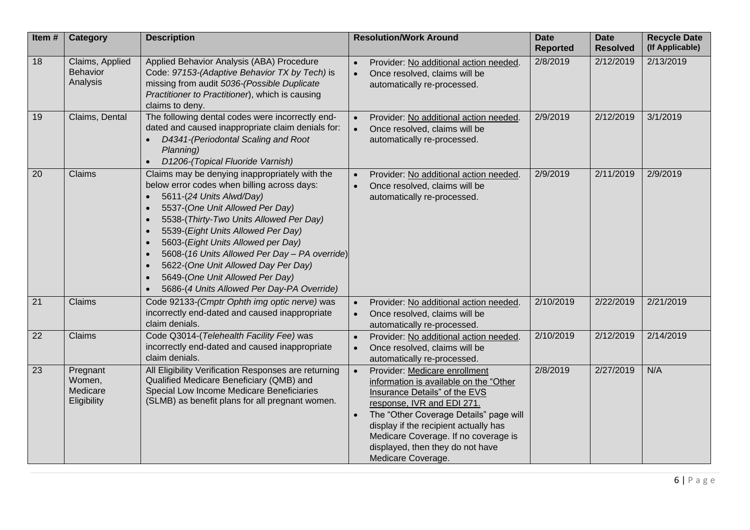| Item#           | Category                                       | <b>Description</b>                                                                                                                                                                                                                                                                                                                                                                                                                                                                                  | <b>Resolution/Work Around</b>                                                                                                                                                                                                                                                                                                                         | <b>Date</b><br><b>Reported</b> | <b>Date</b><br><b>Resolved</b> | <b>Recycle Date</b><br>(If Applicable) |
|-----------------|------------------------------------------------|-----------------------------------------------------------------------------------------------------------------------------------------------------------------------------------------------------------------------------------------------------------------------------------------------------------------------------------------------------------------------------------------------------------------------------------------------------------------------------------------------------|-------------------------------------------------------------------------------------------------------------------------------------------------------------------------------------------------------------------------------------------------------------------------------------------------------------------------------------------------------|--------------------------------|--------------------------------|----------------------------------------|
| 18              | Claims, Applied<br><b>Behavior</b><br>Analysis | Applied Behavior Analysis (ABA) Procedure<br>Code: 97153-(Adaptive Behavior TX by Tech) is<br>missing from audit 5036-(Possible Duplicate<br>Practitioner to Practitioner), which is causing<br>claims to deny.                                                                                                                                                                                                                                                                                     | Provider: No additional action needed.<br>$\bullet$<br>Once resolved, claims will be<br>$\bullet$<br>automatically re-processed.                                                                                                                                                                                                                      | 2/8/2019                       | 2/12/2019                      | 2/13/2019                              |
| 19              | Claims, Dental                                 | The following dental codes were incorrectly end-<br>dated and caused inappropriate claim denials for:<br>D4341-(Periodontal Scaling and Root<br>Planning)<br>D1206-(Topical Fluoride Varnish)                                                                                                                                                                                                                                                                                                       | Provider: No additional action needed.<br>Once resolved, claims will be<br>automatically re-processed.                                                                                                                                                                                                                                                | 2/9/2019                       | 2/12/2019                      | 3/1/2019                               |
| 20              | Claims                                         | Claims may be denying inappropriately with the<br>below error codes when billing across days:<br>5611-(24 Units Alwd/Day)<br>$\bullet$<br>5537-(One Unit Allowed Per Day)<br>$\bullet$<br>5538-(Thirty-Two Units Allowed Per Day)<br>$\bullet$<br>5539-(Eight Units Allowed Per Day)<br>5603-(Eight Units Allowed per Day)<br>5608-(16 Units Allowed Per Day - PA override)<br>5622-(One Unit Allowed Day Per Day)<br>5649-(One Unit Allowed Per Day)<br>5686-(4 Units Allowed Per Day-PA Override) | Provider: No additional action needed.<br>Once resolved, claims will be<br>automatically re-processed.                                                                                                                                                                                                                                                | 2/9/2019                       | 2/11/2019                      | 2/9/2019                               |
| 21              | Claims                                         | Code 92133-(Cmptr Ophth img optic nerve) was<br>incorrectly end-dated and caused inappropriate<br>claim denials.                                                                                                                                                                                                                                                                                                                                                                                    | Provider: No additional action needed.<br>Once resolved, claims will be<br>automatically re-processed.                                                                                                                                                                                                                                                | 2/10/2019                      | 2/22/2019                      | 2/21/2019                              |
| $\overline{22}$ | Claims                                         | Code Q3014-(Telehealth Facility Fee) was<br>incorrectly end-dated and caused inappropriate<br>claim denials.                                                                                                                                                                                                                                                                                                                                                                                        | Provider: No additional action needed.<br>Once resolved, claims will be<br>$\bullet$<br>automatically re-processed.                                                                                                                                                                                                                                   | 2/10/2019                      | 2/12/2019                      | 2/14/2019                              |
| 23              | Pregnant<br>Women,<br>Medicare<br>Eligibility  | All Eligibility Verification Responses are returning<br>Qualified Medicare Beneficiary (QMB) and<br>Special Low Income Medicare Beneficiaries<br>(SLMB) as benefit plans for all pregnant women.                                                                                                                                                                                                                                                                                                    | Provider: Medicare enrollment<br>$\bullet$<br>information is available on the "Other<br>Insurance Details" of the EVS<br>response, IVR and EDI 271.<br>The "Other Coverage Details" page will<br>$\bullet$<br>display if the recipient actually has<br>Medicare Coverage. If no coverage is<br>displayed, then they do not have<br>Medicare Coverage. | 2/8/2019                       | 2/27/2019                      | N/A                                    |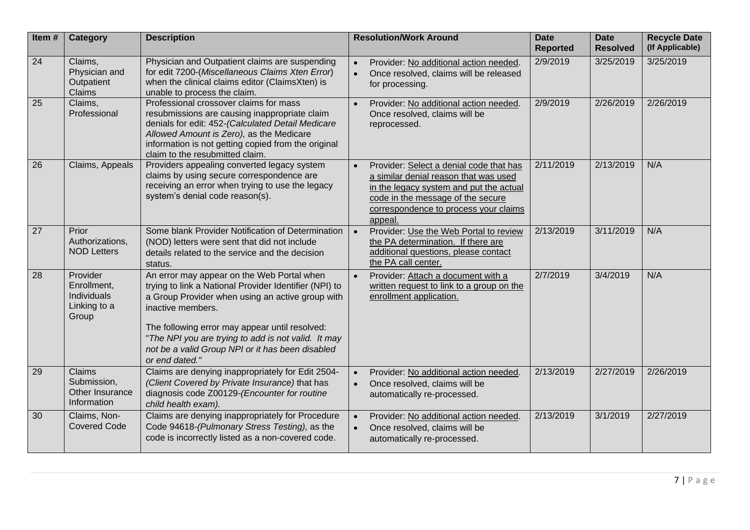| Item# | <b>Category</b>                                                 | <b>Description</b>                                                                                                                                                                                                                                                                                                                                           |           | <b>Resolution/Work Around</b>                                                                                                                                                                                        | <b>Date</b><br><b>Reported</b> | <b>Date</b><br><b>Resolved</b> | <b>Recycle Date</b><br>(If Applicable) |
|-------|-----------------------------------------------------------------|--------------------------------------------------------------------------------------------------------------------------------------------------------------------------------------------------------------------------------------------------------------------------------------------------------------------------------------------------------------|-----------|----------------------------------------------------------------------------------------------------------------------------------------------------------------------------------------------------------------------|--------------------------------|--------------------------------|----------------------------------------|
| 24    | Claims,<br>Physician and<br>Outpatient<br>Claims                | Physician and Outpatient claims are suspending<br>for edit 7200-(Miscellaneous Claims Xten Error)<br>when the clinical claims editor (ClaimsXten) is<br>unable to process the claim.                                                                                                                                                                         | $\bullet$ | Provider: No additional action needed.<br>Once resolved, claims will be released<br>for processing.                                                                                                                  | 2/9/2019                       | 3/25/2019                      | 3/25/2019                              |
| 25    | Claims,<br>Professional                                         | Professional crossover claims for mass<br>resubmissions are causing inappropriate claim<br>denials for edit: 452-(Calculated Detail Medicare<br>Allowed Amount is Zero), as the Medicare<br>information is not getting copied from the original<br>claim to the resubmitted claim.                                                                           |           | Provider: No additional action needed.<br>Once resolved, claims will be<br>reprocessed.                                                                                                                              | 2/9/2019                       | 2/26/2019                      | 2/26/2019                              |
| 26    | Claims, Appeals                                                 | Providers appealing converted legacy system<br>claims by using secure correspondence are<br>receiving an error when trying to use the legacy<br>system's denial code reason(s).                                                                                                                                                                              |           | Provider: Select a denial code that has<br>a similar denial reason that was used<br>in the legacy system and put the actual<br>code in the message of the secure<br>correspondence to process your claims<br>appeal. | 2/11/2019                      | 2/13/2019                      | N/A                                    |
| 27    | Prior<br>Authorizations,<br><b>NOD Letters</b>                  | Some blank Provider Notification of Determination<br>(NOD) letters were sent that did not include<br>details related to the service and the decision<br>status.                                                                                                                                                                                              | $\bullet$ | Provider: Use the Web Portal to review<br>the PA determination. If there are<br>additional questions, please contact<br>the PA call center.                                                                          | 2/13/2019                      | 3/11/2019                      | N/A                                    |
| 28    | Provider<br>Enrollment,<br>Individuals<br>Linking to a<br>Group | An error may appear on the Web Portal when<br>trying to link a National Provider Identifier (NPI) to<br>a Group Provider when using an active group with<br>inactive members.<br>The following error may appear until resolved:<br>"The NPI you are trying to add is not valid. It may<br>not be a valid Group NPI or it has been disabled<br>or end dated." |           | Provider: Attach a document with a<br>written request to link to a group on the<br>enrollment application.                                                                                                           | 2/7/2019                       | 3/4/2019                       | N/A                                    |
| 29    | Claims<br>Submission,<br>Other Insurance<br>Information         | Claims are denying inappropriately for Edit 2504-<br>(Client Covered by Private Insurance) that has<br>diagnosis code Z00129-(Encounter for routine<br>child health exam).                                                                                                                                                                                   | $\bullet$ | Provider: No additional action needed.<br>Once resolved, claims will be<br>automatically re-processed.                                                                                                               | 2/13/2019                      | 2/27/2019                      | 2/26/2019                              |
| 30    | Claims, Non-<br><b>Covered Code</b>                             | Claims are denying inappropriately for Procedure<br>Code 94618-(Pulmonary Stress Testing), as the<br>code is incorrectly listed as a non-covered code.                                                                                                                                                                                                       |           | Provider: No additional action needed.<br>Once resolved, claims will be<br>automatically re-processed.                                                                                                               | 2/13/2019                      | 3/1/2019                       | 2/27/2019                              |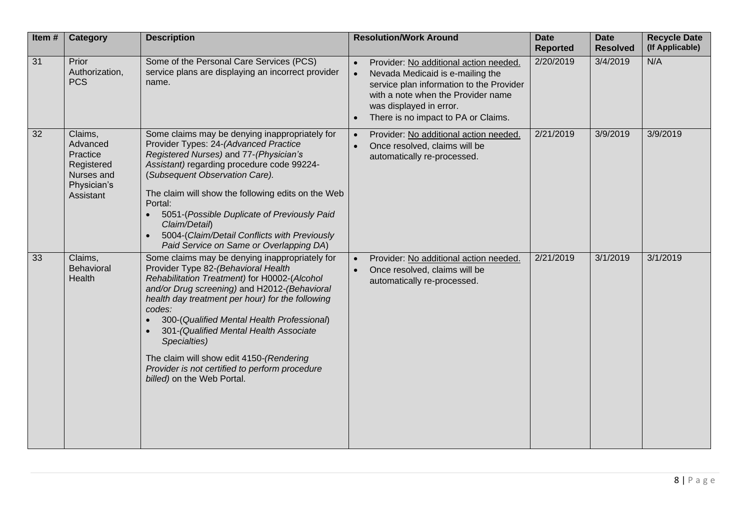| Item#           | <b>Category</b>                                                                         | <b>Description</b>                                                                                                                                                                                                                                                                                                                                                                                                                                                                      | <b>Resolution/Work Around</b>                                                                                                                                                                                                                            | <b>Date</b><br><b>Reported</b> | <b>Date</b><br><b>Resolved</b> | <b>Recycle Date</b><br>(If Applicable) |
|-----------------|-----------------------------------------------------------------------------------------|-----------------------------------------------------------------------------------------------------------------------------------------------------------------------------------------------------------------------------------------------------------------------------------------------------------------------------------------------------------------------------------------------------------------------------------------------------------------------------------------|----------------------------------------------------------------------------------------------------------------------------------------------------------------------------------------------------------------------------------------------------------|--------------------------------|--------------------------------|----------------------------------------|
| $\overline{31}$ | Prior<br>Authorization,<br><b>PCS</b>                                                   | Some of the Personal Care Services (PCS)<br>service plans are displaying an incorrect provider<br>name.                                                                                                                                                                                                                                                                                                                                                                                 | Provider: No additional action needed.<br>$\bullet$<br>Nevada Medicaid is e-mailing the<br>service plan information to the Provider<br>with a note when the Provider name<br>was displayed in error.<br>There is no impact to PA or Claims.<br>$\bullet$ | 2/20/2019                      | 3/4/2019                       | N/A                                    |
| 32              | Claims,<br>Advanced<br>Practice<br>Registered<br>Nurses and<br>Physician's<br>Assistant | Some claims may be denying inappropriately for<br>Provider Types: 24-(Advanced Practice<br>Registered Nurses) and 77-(Physician's<br>Assistant) regarding procedure code 99224-<br>(Subsequent Observation Care).<br>The claim will show the following edits on the Web<br>Portal:<br>5051-(Possible Duplicate of Previously Paid<br>Claim/Detail)<br>5004-(Claim/Detail Conflicts with Previously<br>$\bullet$<br>Paid Service on Same or Overlapping DA)                              | Provider: No additional action needed.<br>$\bullet$<br>Once resolved, claims will be<br>automatically re-processed.                                                                                                                                      | 2/21/2019                      | 3/9/2019                       | 3/9/2019                               |
| 33              | Claims,<br>Behavioral<br>Health                                                         | Some claims may be denying inappropriately for<br>Provider Type 82-(Behavioral Health<br>Rehabilitation Treatment) for H0002-(Alcohol<br>and/or Drug screening) and H2012-(Behavioral<br>health day treatment per hour) for the following<br>codes:<br>300-(Qualified Mental Health Professional)<br>301-(Qualified Mental Health Associate<br>Specialties)<br>The claim will show edit 4150-(Rendering<br>Provider is not certified to perform procedure<br>billed) on the Web Portal. | Provider: No additional action needed.<br>Once resolved, claims will be<br>automatically re-processed.                                                                                                                                                   | 2/21/2019                      | 3/1/2019                       | 3/1/2019                               |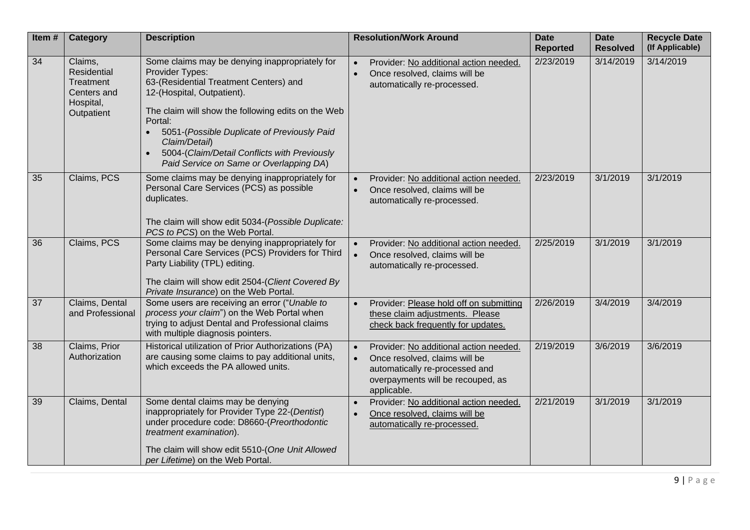| Item $#$ | <b>Category</b>                                                               | <b>Description</b>                                                                                                                                                                                                                                                                                                                                                                 | <b>Resolution/Work Around</b>                                                                                                                                 | <b>Date</b><br><b>Reported</b> | <b>Date</b><br><b>Resolved</b> | <b>Recycle Date</b><br>(If Applicable) |
|----------|-------------------------------------------------------------------------------|------------------------------------------------------------------------------------------------------------------------------------------------------------------------------------------------------------------------------------------------------------------------------------------------------------------------------------------------------------------------------------|---------------------------------------------------------------------------------------------------------------------------------------------------------------|--------------------------------|--------------------------------|----------------------------------------|
| 34       | Claims,<br>Residential<br>Treatment<br>Centers and<br>Hospital,<br>Outpatient | Some claims may be denying inappropriately for<br>Provider Types:<br>63-(Residential Treatment Centers) and<br>12-(Hospital, Outpatient).<br>The claim will show the following edits on the Web<br>Portal:<br>5051-(Possible Duplicate of Previously Paid<br>$\bullet$<br>Claim/Detail)<br>5004-(Claim/Detail Conflicts with Previously<br>Paid Service on Same or Overlapping DA) | Provider: No additional action needed.<br>Once resolved, claims will be<br>$\bullet$<br>automatically re-processed.                                           | 2/23/2019                      | 3/14/2019                      | 3/14/2019                              |
| 35       | Claims, PCS                                                                   | Some claims may be denying inappropriately for<br>Personal Care Services (PCS) as possible<br>duplicates.<br>The claim will show edit 5034-(Possible Duplicate:<br>PCS to PCS) on the Web Portal.                                                                                                                                                                                  | Provider: No additional action needed.<br>Once resolved, claims will be<br>$\bullet$<br>automatically re-processed.                                           | 2/23/2019                      | 3/1/2019                       | 3/1/2019                               |
| 36       | Claims, PCS                                                                   | Some claims may be denying inappropriately for<br>Personal Care Services (PCS) Providers for Third<br>Party Liability (TPL) editing.<br>The claim will show edit 2504-(Client Covered By<br>Private Insurance) on the Web Portal.                                                                                                                                                  | Provider: No additional action needed.<br>Once resolved, claims will be<br>$\bullet$<br>automatically re-processed.                                           | 2/25/2019                      | 3/1/2019                       | 3/1/2019                               |
| 37       | Claims, Dental<br>and Professional                                            | Some users are receiving an error ("Unable to<br>process your claim") on the Web Portal when<br>trying to adjust Dental and Professional claims<br>with multiple diagnosis pointers.                                                                                                                                                                                               | Provider: Please hold off on submitting<br>$\bullet$<br>these claim adjustments. Please<br>check back frequently for updates.                                 | 2/26/2019                      | 3/4/2019                       | 3/4/2019                               |
| 38       | Claims, Prior<br>Authorization                                                | Historical utilization of Prior Authorizations (PA)<br>are causing some claims to pay additional units,<br>which exceeds the PA allowed units.                                                                                                                                                                                                                                     | Provider: No additional action needed.<br>Once resolved, claims will be<br>automatically re-processed and<br>overpayments will be recouped, as<br>applicable. | 2/19/2019                      | 3/6/2019                       | 3/6/2019                               |
| 39       | Claims, Dental                                                                | Some dental claims may be denying<br>inappropriately for Provider Type 22-(Dentist)<br>under procedure code: D8660-(Preorthodontic<br>treatment examination).<br>The claim will show edit 5510-(One Unit Allowed<br>per Lifetime) on the Web Portal.                                                                                                                               | Provider: No additional action needed.<br>Once resolved, claims will be<br>$\bullet$<br>automatically re-processed.                                           | 2/21/2019                      | 3/1/2019                       | 3/1/2019                               |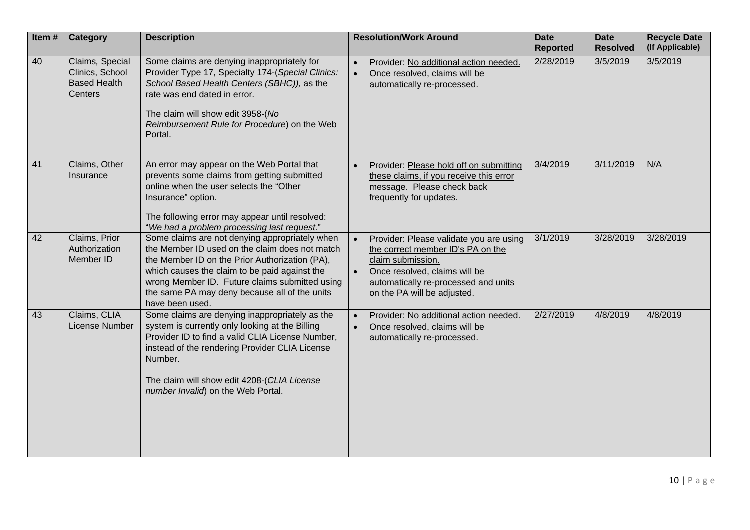| Item# | <b>Category</b>                                                      | <b>Description</b>                                                                                                                                                                                                                                                                                                        | <b>Resolution/Work Around</b>                                                                                                                                                                                          | <b>Date</b><br><b>Reported</b> | <b>Date</b><br><b>Resolved</b> | <b>Recycle Date</b><br>(If Applicable) |
|-------|----------------------------------------------------------------------|---------------------------------------------------------------------------------------------------------------------------------------------------------------------------------------------------------------------------------------------------------------------------------------------------------------------------|------------------------------------------------------------------------------------------------------------------------------------------------------------------------------------------------------------------------|--------------------------------|--------------------------------|----------------------------------------|
| 40    | Claims, Special<br>Clinics, School<br><b>Based Health</b><br>Centers | Some claims are denying inappropriately for<br>Provider Type 17, Specialty 174-(Special Clinics:<br>School Based Health Centers (SBHC)), as the<br>rate was end dated in error.<br>The claim will show edit 3958-(No<br>Reimbursement Rule for Procedure) on the Web<br>Portal.                                           | Provider: No additional action needed.<br>$\bullet$<br>Once resolved, claims will be<br>$\bullet$<br>automatically re-processed.                                                                                       | 2/28/2019                      | 3/5/2019                       | 3/5/2019                               |
| 41    | Claims, Other<br>Insurance                                           | An error may appear on the Web Portal that<br>prevents some claims from getting submitted<br>online when the user selects the "Other<br>Insurance" option.<br>The following error may appear until resolved:<br>"We had a problem processing last request."                                                               | Provider: Please hold off on submitting<br>these claims, if you receive this error<br>message. Please check back<br>frequently for updates.                                                                            | 3/4/2019                       | 3/11/2019                      | N/A                                    |
| 42    | Claims, Prior<br>Authorization<br>Member ID                          | Some claims are not denying appropriately when<br>the Member ID used on the claim does not match<br>the Member ID on the Prior Authorization (PA),<br>which causes the claim to be paid against the<br>wrong Member ID. Future claims submitted using<br>the same PA may deny because all of the units<br>have been used. | Provider: Please validate you are using<br>the correct member ID's PA on the<br>claim submission.<br>Once resolved, claims will be<br>$\bullet$<br>automatically re-processed and units<br>on the PA will be adjusted. | 3/1/2019                       | 3/28/2019                      | 3/28/2019                              |
| 43    | Claims, CLIA<br>License Number                                       | Some claims are denying inappropriately as the<br>system is currently only looking at the Billing<br>Provider ID to find a valid CLIA License Number,<br>instead of the rendering Provider CLIA License<br>Number.<br>The claim will show edit 4208-(CLIA License<br>number Invalid) on the Web Portal.                   | Provider: No additional action needed.<br>Once resolved, claims will be<br>$\bullet$<br>automatically re-processed.                                                                                                    | 2/27/2019                      | 4/8/2019                       | 4/8/2019                               |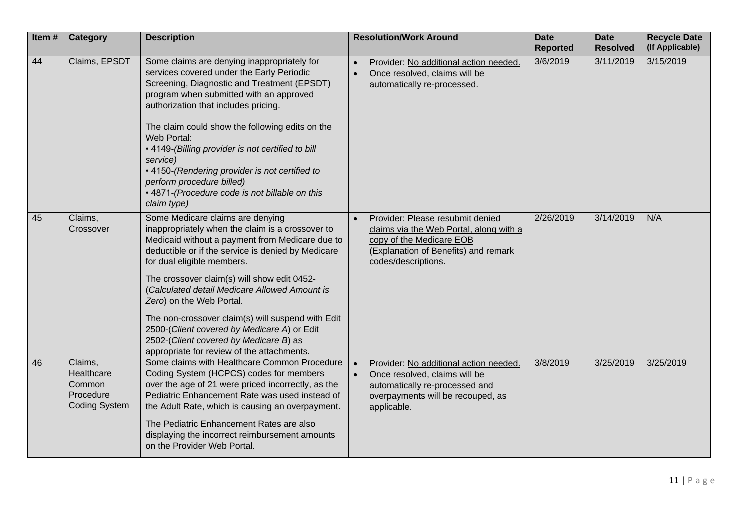| Item# | <b>Category</b>                                                      | <b>Description</b>                                                                                                                                                                                                                                                                                                                                                                                                                                                                                                                                  | <b>Resolution/Work Around</b>                                                                                                                                              | <b>Date</b><br><b>Reported</b> | <b>Date</b><br><b>Resolved</b> | <b>Recycle Date</b><br>(If Applicable) |
|-------|----------------------------------------------------------------------|-----------------------------------------------------------------------------------------------------------------------------------------------------------------------------------------------------------------------------------------------------------------------------------------------------------------------------------------------------------------------------------------------------------------------------------------------------------------------------------------------------------------------------------------------------|----------------------------------------------------------------------------------------------------------------------------------------------------------------------------|--------------------------------|--------------------------------|----------------------------------------|
| 44    | Claims, EPSDT                                                        | Some claims are denying inappropriately for<br>services covered under the Early Periodic<br>Screening, Diagnostic and Treatment (EPSDT)<br>program when submitted with an approved<br>authorization that includes pricing.<br>The claim could show the following edits on the<br>Web Portal:<br>• 4149-(Billing provider is not certified to bill<br>service)<br>• 4150-(Rendering provider is not certified to<br>perform procedure billed)<br>• 4871-(Procedure code is not billable on this<br>claim type)                                       | Provider: No additional action needed.<br>Once resolved, claims will be<br>$\bullet$<br>automatically re-processed.                                                        | 3/6/2019                       | 3/11/2019                      | 3/15/2019                              |
| 45    | Claims,<br>Crossover                                                 | Some Medicare claims are denying<br>inappropriately when the claim is a crossover to<br>Medicaid without a payment from Medicare due to<br>deductible or if the service is denied by Medicare<br>for dual eligible members.<br>The crossover claim(s) will show edit 0452-<br>(Calculated detail Medicare Allowed Amount is<br>Zero) on the Web Portal.<br>The non-crossover claim(s) will suspend with Edit<br>2500-(Client covered by Medicare A) or Edit<br>2502-(Client covered by Medicare B) as<br>appropriate for review of the attachments. | Provider: Please resubmit denied<br>claims via the Web Portal, along with a<br>copy of the Medicare EOB<br>(Explanation of Benefits) and remark<br>codes/descriptions.     | 2/26/2019                      | 3/14/2019                      | N/A                                    |
| 46    | Claims,<br>Healthcare<br>Common<br>Procedure<br><b>Coding System</b> | Some claims with Healthcare Common Procedure<br>Coding System (HCPCS) codes for members<br>over the age of 21 were priced incorrectly, as the<br>Pediatric Enhancement Rate was used instead of<br>the Adult Rate, which is causing an overpayment.<br>The Pediatric Enhancement Rates are also<br>displaying the incorrect reimbursement amounts<br>on the Provider Web Portal.                                                                                                                                                                    | Provider: No additional action needed.<br>Once resolved, claims will be<br>$\bullet$<br>automatically re-processed and<br>overpayments will be recouped, as<br>applicable. | 3/8/2019                       | 3/25/2019                      | 3/25/2019                              |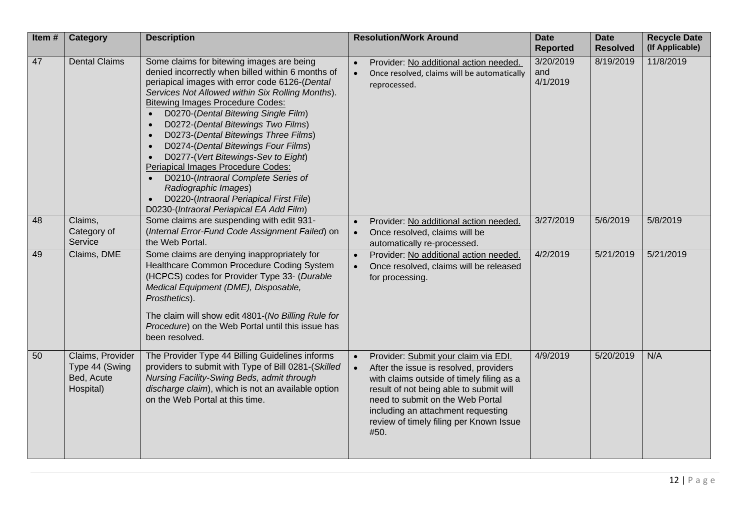| Item# | <b>Category</b>                                               | <b>Description</b>                                                                                                                                                                                                                                                                                                                                                                                                                                                                                                                                                                                                                                                                                 | <b>Resolution/Work Around</b>                                                                                                                                                                                                                                                                       | <b>Date</b><br><b>Reported</b> | <b>Date</b><br><b>Resolved</b> | <b>Recycle Date</b><br>(If Applicable) |
|-------|---------------------------------------------------------------|----------------------------------------------------------------------------------------------------------------------------------------------------------------------------------------------------------------------------------------------------------------------------------------------------------------------------------------------------------------------------------------------------------------------------------------------------------------------------------------------------------------------------------------------------------------------------------------------------------------------------------------------------------------------------------------------------|-----------------------------------------------------------------------------------------------------------------------------------------------------------------------------------------------------------------------------------------------------------------------------------------------------|--------------------------------|--------------------------------|----------------------------------------|
| 47    | <b>Dental Claims</b>                                          | Some claims for bitewing images are being<br>denied incorrectly when billed within 6 months of<br>periapical images with error code 6126-(Dental<br>Services Not Allowed within Six Rolling Months).<br><b>Bitewing Images Procedure Codes:</b><br>D0270-(Dental Bitewing Single Film)<br>$\bullet$<br>D0272-(Dental Bitewings Two Films)<br>$\bullet$<br>D0273-(Dental Bitewings Three Films)<br>$\bullet$<br>D0274-(Dental Bitewings Four Films)<br>$\bullet$<br>D0277-(Vert Bitewings-Sev to Eight)<br>Periapical Images Procedure Codes:<br>D0210-(Intraoral Complete Series of<br>Radiographic Images)<br>D0220-(Intraoral Periapical First File)<br>D0230-(Intraoral Periapical EA Add Film) | Provider: No additional action needed.<br>$\bullet$<br>Once resolved, claims will be automatically<br>$\bullet$<br>reprocessed.                                                                                                                                                                     | 3/20/2019<br>and<br>4/1/2019   | 8/19/2019                      | 11/8/2019                              |
| 48    | Claims,<br>Category of<br>Service                             | Some claims are suspending with edit 931-<br>(Internal Error-Fund Code Assignment Failed) on<br>the Web Portal.                                                                                                                                                                                                                                                                                                                                                                                                                                                                                                                                                                                    | Provider: No additional action needed.<br>Once resolved, claims will be<br>automatically re-processed.                                                                                                                                                                                              | 3/27/2019                      | 5/6/2019                       | 5/8/2019                               |
| 49    | Claims, DME                                                   | Some claims are denying inappropriately for<br>Healthcare Common Procedure Coding System<br>(HCPCS) codes for Provider Type 33- (Durable<br>Medical Equipment (DME), Disposable,<br>Prosthetics).<br>The claim will show edit 4801-(No Billing Rule for<br>Procedure) on the Web Portal until this issue has<br>been resolved.                                                                                                                                                                                                                                                                                                                                                                     | Provider: No additional action needed.<br>Once resolved, claims will be released<br>for processing.                                                                                                                                                                                                 | 4/2/2019                       | 5/21/2019                      | 5/21/2019                              |
| 50    | Claims, Provider<br>Type 44 (Swing<br>Bed, Acute<br>Hospital) | The Provider Type 44 Billing Guidelines informs<br>providers to submit with Type of Bill 0281-(Skilled<br>Nursing Facility-Swing Beds, admit through<br>discharge claim), which is not an available option<br>on the Web Portal at this time.                                                                                                                                                                                                                                                                                                                                                                                                                                                      | Provider: Submit your claim via EDI.<br>After the issue is resolved, providers<br>with claims outside of timely filing as a<br>result of not being able to submit will<br>need to submit on the Web Portal<br>including an attachment requesting<br>review of timely filing per Known Issue<br>#50. | 4/9/2019                       | 5/20/2019                      | N/A                                    |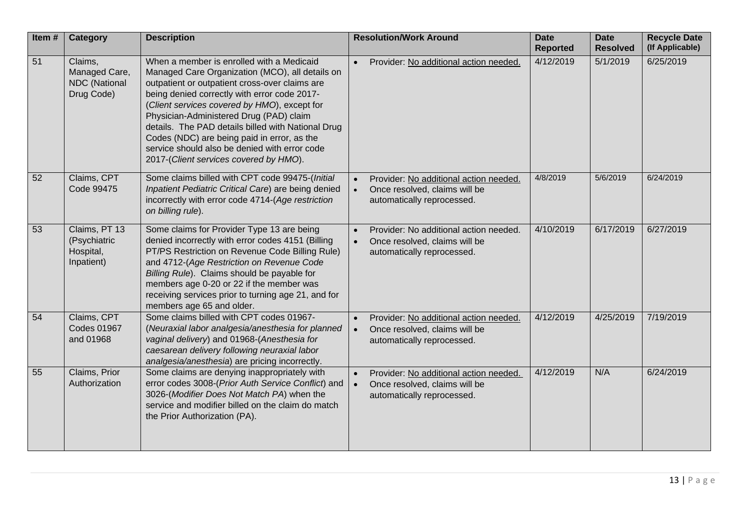| Item# | <b>Category</b>                                                | <b>Description</b>                                                                                                                                                                                                                                                                                                                                                                                                                                                                        | <b>Resolution/Work Around</b>                                                                                                   | <b>Date</b><br><b>Reported</b> | <b>Date</b><br><b>Resolved</b> | <b>Recycle Date</b><br>(If Applicable) |
|-------|----------------------------------------------------------------|-------------------------------------------------------------------------------------------------------------------------------------------------------------------------------------------------------------------------------------------------------------------------------------------------------------------------------------------------------------------------------------------------------------------------------------------------------------------------------------------|---------------------------------------------------------------------------------------------------------------------------------|--------------------------------|--------------------------------|----------------------------------------|
| 51    | Claims,<br>Managed Care,<br><b>NDC</b> (National<br>Drug Code) | When a member is enrolled with a Medicaid<br>Managed Care Organization (MCO), all details on<br>outpatient or outpatient cross-over claims are<br>being denied correctly with error code 2017-<br>(Client services covered by HMO), except for<br>Physician-Administered Drug (PAD) claim<br>details. The PAD details billed with National Drug<br>Codes (NDC) are being paid in error, as the<br>service should also be denied with error code<br>2017-(Client services covered by HMO). | Provider: No additional action needed.<br>$\bullet$                                                                             | 4/12/2019                      | 5/1/2019                       | 6/25/2019                              |
| 52    | Claims, CPT<br>Code 99475                                      | Some claims billed with CPT code 99475-(Initial<br>Inpatient Pediatric Critical Care) are being denied<br>incorrectly with error code 4714-(Age restriction<br>on billing rule).                                                                                                                                                                                                                                                                                                          | Provider: No additional action needed.<br>Once resolved, claims will be<br>automatically reprocessed.                           | 4/8/2019                       | 5/6/2019                       | 6/24/2019                              |
| 53    | Claims, PT 13<br>(Psychiatric<br>Hospital,<br>Inpatient)       | Some claims for Provider Type 13 are being<br>denied incorrectly with error codes 4151 (Billing<br>PT/PS Restriction on Revenue Code Billing Rule)<br>and 4712-(Age Restriction on Revenue Code<br>Billing Rule). Claims should be payable for<br>members age 0-20 or 22 if the member was<br>receiving services prior to turning age 21, and for<br>members age 65 and older.                                                                                                            | Provider: No additional action needed.<br>$\bullet$<br>Once resolved, claims will be<br>$\bullet$<br>automatically reprocessed. | 4/10/2019                      | 6/17/2019                      | 6/27/2019                              |
| 54    | Claims, CPT<br><b>Codes 01967</b><br>and 01968                 | Some claims billed with CPT codes 01967-<br>(Neuraxial labor analgesia/anesthesia for planned<br>vaginal delivery) and 01968-(Anesthesia for<br>caesarean delivery following neuraxial labor<br>analgesia/anesthesia) are pricing incorrectly.                                                                                                                                                                                                                                            | Provider: No additional action needed.<br>Once resolved, claims will be<br>automatically reprocessed.                           | 4/12/2019                      | 4/25/2019                      | 7/19/2019                              |
| 55    | Claims, Prior<br>Authorization                                 | Some claims are denying inappropriately with<br>error codes 3008-(Prior Auth Service Conflict) and<br>3026-(Modifier Does Not Match PA) when the<br>service and modifier billed on the claim do match<br>the Prior Authorization (PA).                                                                                                                                                                                                                                                    | Provider: No additional action needed.<br>Once resolved, claims will be<br>$\bullet$<br>automatically reprocessed.              | 4/12/2019                      | N/A                            | 6/24/2019                              |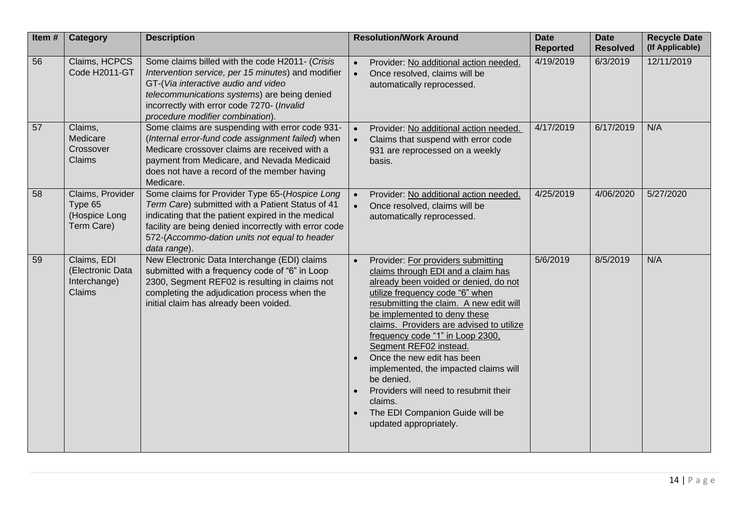| Item# | Category                                                   | <b>Description</b>                                                                                                                                                                                                                                                                 | <b>Resolution/Work Around</b>                                                                                                                                                                                                                                                                                                                                                                                                                                                                                                                   | <b>Date</b><br><b>Reported</b> | <b>Date</b><br><b>Resolved</b> | <b>Recycle Date</b><br>(If Applicable) |
|-------|------------------------------------------------------------|------------------------------------------------------------------------------------------------------------------------------------------------------------------------------------------------------------------------------------------------------------------------------------|-------------------------------------------------------------------------------------------------------------------------------------------------------------------------------------------------------------------------------------------------------------------------------------------------------------------------------------------------------------------------------------------------------------------------------------------------------------------------------------------------------------------------------------------------|--------------------------------|--------------------------------|----------------------------------------|
| 56    | Claims, HCPCS<br>Code H2011-GT                             | Some claims billed with the code H2011- (Crisis<br>Intervention service, per 15 minutes) and modifier<br>GT-(Via interactive audio and video<br>telecommunications systems) are being denied<br>incorrectly with error code 7270- (Invalid<br>procedure modifier combination).     | Provider: No additional action needed.<br>$\bullet$<br>Once resolved, claims will be<br>automatically reprocessed.                                                                                                                                                                                                                                                                                                                                                                                                                              | 4/19/2019                      | 6/3/2019                       | 12/11/2019                             |
| 57    | Claims,<br>Medicare<br>Crossover<br>Claims                 | Some claims are suspending with error code 931-<br>(Internal error-fund code assignment failed) when<br>Medicare crossover claims are received with a<br>payment from Medicare, and Nevada Medicaid<br>does not have a record of the member having<br>Medicare.                    | Provider: No additional action needed.<br>Claims that suspend with error code<br>931 are reprocessed on a weekly<br>basis.                                                                                                                                                                                                                                                                                                                                                                                                                      | 4/17/2019                      | 6/17/2019                      | N/A                                    |
| 58    | Claims, Provider<br>Type 65<br>(Hospice Long<br>Term Care) | Some claims for Provider Type 65-(Hospice Long<br>Term Care) submitted with a Patient Status of 41<br>indicating that the patient expired in the medical<br>facility are being denied incorrectly with error code<br>572-(Accommo-dation units not equal to header<br>data range). | Provider: No additional action needed.<br>Once resolved, claims will be<br>automatically reprocessed.                                                                                                                                                                                                                                                                                                                                                                                                                                           | 4/25/2019                      | 4/06/2020                      | 5/27/2020                              |
| 59    | Claims, EDI<br>(Electronic Data<br>Interchange)<br>Claims  | New Electronic Data Interchange (EDI) claims<br>submitted with a frequency code of "6" in Loop<br>2300, Segment REF02 is resulting in claims not<br>completing the adjudication process when the<br>initial claim has already been voided.                                         | Provider: For providers submitting<br>claims through EDI and a claim has<br>already been voided or denied, do not<br>utilize frequency code "6" when<br>resubmitting the claim. A new edit will<br>be implemented to deny these<br>claims. Providers are advised to utilize<br>frequency code "1" in Loop 2300,<br>Segment REF02 instead.<br>Once the new edit has been<br>implemented, the impacted claims will<br>be denied.<br>Providers will need to resubmit their<br>claims.<br>The EDI Companion Guide will be<br>updated appropriately. | 5/6/2019                       | 8/5/2019                       | N/A                                    |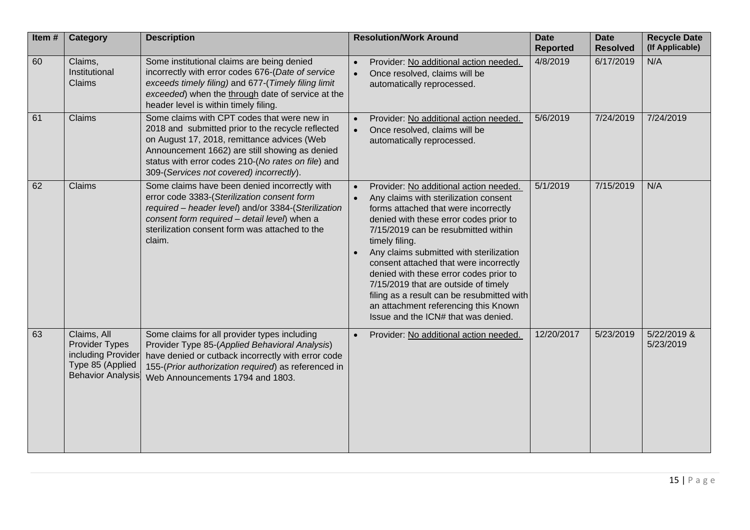| Item# | <b>Category</b>                                                                                     | <b>Description</b>                                                                                                                                                                                                                                                                                  | <b>Resolution/Work Around</b>                                                                                                                                                                                                                                                                                                                                                                                                                                                                                                  | <b>Date</b><br><b>Reported</b> | <b>Date</b><br><b>Resolved</b> | <b>Recycle Date</b><br>(If Applicable) |
|-------|-----------------------------------------------------------------------------------------------------|-----------------------------------------------------------------------------------------------------------------------------------------------------------------------------------------------------------------------------------------------------------------------------------------------------|--------------------------------------------------------------------------------------------------------------------------------------------------------------------------------------------------------------------------------------------------------------------------------------------------------------------------------------------------------------------------------------------------------------------------------------------------------------------------------------------------------------------------------|--------------------------------|--------------------------------|----------------------------------------|
| 60    | Claims,<br>Institutional<br>Claims                                                                  | Some institutional claims are being denied<br>incorrectly with error codes 676-(Date of service<br>exceeds timely filing) and 677-(Timely filing limit<br>exceeded) when the through date of service at the<br>header level is within timely filing.                                                | Provider: No additional action needed.<br>Once resolved, claims will be<br>$\bullet$<br>automatically reprocessed.                                                                                                                                                                                                                                                                                                                                                                                                             | 4/8/2019                       | 6/17/2019                      | N/A                                    |
| 61    | Claims                                                                                              | Some claims with CPT codes that were new in<br>2018 and submitted prior to the recycle reflected<br>on August 17, 2018, remittance advices (Web<br>Announcement 1662) are still showing as denied<br>status with error codes 210-(No rates on file) and<br>309-(Services not covered) incorrectly). | Provider: No additional action needed.<br>Once resolved, claims will be<br>automatically reprocessed.                                                                                                                                                                                                                                                                                                                                                                                                                          | 5/6/2019                       | 7/24/2019                      | 7/24/2019                              |
| 62    | Claims                                                                                              | Some claims have been denied incorrectly with<br>error code 3383-(Sterilization consent form<br>required - header level) and/or 3384-(Sterilization<br>consent form required - detail level) when a<br>sterilization consent form was attached to the<br>claim.                                     | Provider: No additional action needed.<br>Any claims with sterilization consent<br>forms attached that were incorrectly<br>denied with these error codes prior to<br>7/15/2019 can be resubmitted within<br>timely filing.<br>Any claims submitted with sterilization<br>consent attached that were incorrectly<br>denied with these error codes prior to<br>7/15/2019 that are outside of timely<br>filing as a result can be resubmitted with<br>an attachment referencing this Known<br>Issue and the ICN# that was denied. | 5/1/2019                       | 7/15/2019                      | N/A                                    |
| 63    | Claims, All<br>Provider Types<br>including Provider<br>Type 85 (Applied<br><b>Behavior Analysis</b> | Some claims for all provider types including<br>Provider Type 85-(Applied Behavioral Analysis)<br>have denied or cutback incorrectly with error code<br>155-(Prior authorization required) as referenced in<br>Web Announcements 1794 and 1803.                                                     | Provider: No additional action needed.                                                                                                                                                                                                                                                                                                                                                                                                                                                                                         | 12/20/2017                     | 5/23/2019                      | 5/22/2019 &<br>5/23/2019               |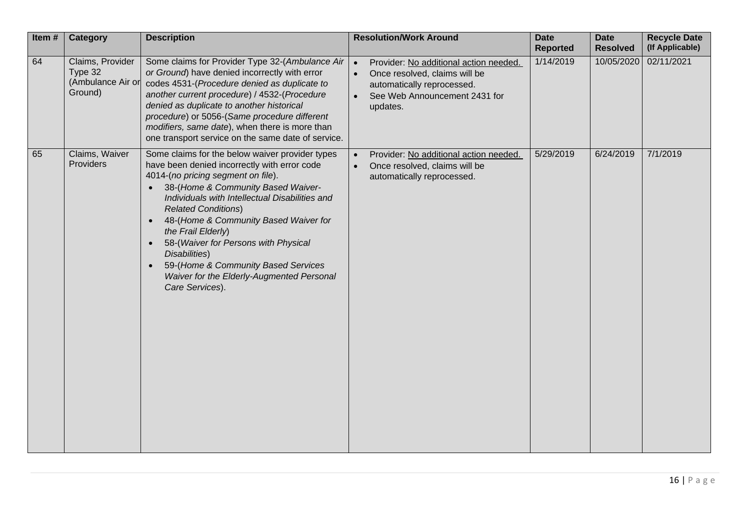| Item# | <b>Category</b>                                             | <b>Description</b>                                                                                                                                                                                                                                                                                                                                                                                                                                                                                                                | <b>Resolution/Work Around</b>                                                                                                                                                | <b>Date</b><br><b>Reported</b> | <b>Date</b><br><b>Resolved</b> | <b>Recycle Date</b><br>(If Applicable) |
|-------|-------------------------------------------------------------|-----------------------------------------------------------------------------------------------------------------------------------------------------------------------------------------------------------------------------------------------------------------------------------------------------------------------------------------------------------------------------------------------------------------------------------------------------------------------------------------------------------------------------------|------------------------------------------------------------------------------------------------------------------------------------------------------------------------------|--------------------------------|--------------------------------|----------------------------------------|
| 64    | Claims, Provider<br>Type 32<br>(Ambulance Air or<br>Ground) | Some claims for Provider Type 32-(Ambulance Air<br>or Ground) have denied incorrectly with error<br>codes 4531-(Procedure denied as duplicate to<br>another current procedure) / 4532-(Procedure<br>denied as duplicate to another historical<br>procedure) or 5056-(Same procedure different<br>modifiers, same date), when there is more than<br>one transport service on the same date of service.                                                                                                                             | Provider: No additional action needed.<br>$\bullet$<br>Once resolved, claims will be<br>$\bullet$<br>automatically reprocessed.<br>See Web Announcement 2431 for<br>updates. | 1/14/2019                      | 10/05/2020                     | 02/11/2021                             |
| 65    | Claims, Waiver<br>Providers                                 | Some claims for the below waiver provider types<br>have been denied incorrectly with error code<br>4014-(no pricing segment on file).<br>38-(Home & Community Based Waiver-<br>Individuals with Intellectual Disabilities and<br><b>Related Conditions)</b><br>48-(Home & Community Based Waiver for<br>$\bullet$<br>the Frail Elderly)<br>58-(Waiver for Persons with Physical<br>$\bullet$<br>Disabilities)<br>59-(Home & Community Based Services<br>$\bullet$<br>Waiver for the Elderly-Augmented Personal<br>Care Services). | Provider: No additional action needed.<br>Once resolved, claims will be<br>$\bullet$<br>automatically reprocessed.                                                           | 5/29/2019                      | 6/24/2019                      | 7/1/2019                               |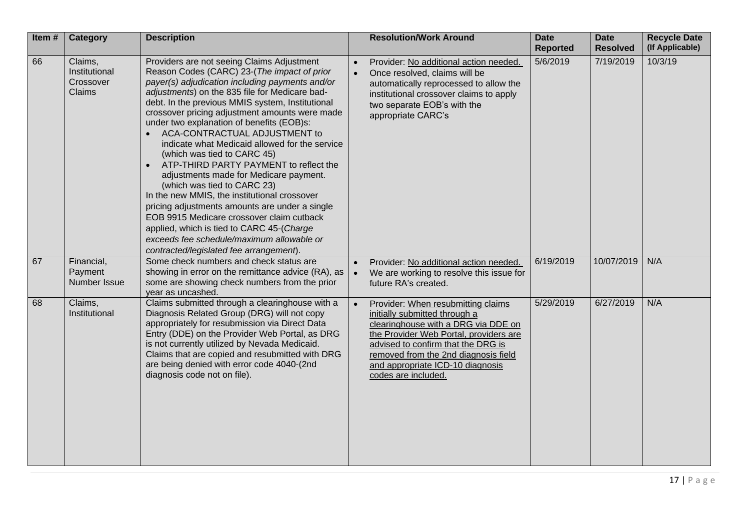| Item# | <b>Category</b>                                 | <b>Description</b>                                                                                                                                                                                                                                                                                                                                                                                                                                                                                                                                                                                                                                                                                                                                                                                                                                                         |           | <b>Resolution/Work Around</b>                                                                                                                                                                                                                                                                 | <b>Date</b><br><b>Reported</b> | <b>Date</b><br><b>Resolved</b> | <b>Recycle Date</b><br>(If Applicable) |
|-------|-------------------------------------------------|----------------------------------------------------------------------------------------------------------------------------------------------------------------------------------------------------------------------------------------------------------------------------------------------------------------------------------------------------------------------------------------------------------------------------------------------------------------------------------------------------------------------------------------------------------------------------------------------------------------------------------------------------------------------------------------------------------------------------------------------------------------------------------------------------------------------------------------------------------------------------|-----------|-----------------------------------------------------------------------------------------------------------------------------------------------------------------------------------------------------------------------------------------------------------------------------------------------|--------------------------------|--------------------------------|----------------------------------------|
| 66    | Claims,<br>Institutional<br>Crossover<br>Claims | Providers are not seeing Claims Adjustment<br>Reason Codes (CARC) 23-(The impact of prior<br>payer(s) adjudication including payments and/or<br>adjustments) on the 835 file for Medicare bad-<br>debt. In the previous MMIS system, Institutional<br>crossover pricing adjustment amounts were made<br>under two explanation of benefits (EOB)s:<br>ACA-CONTRACTUAL ADJUSTMENT to<br>indicate what Medicaid allowed for the service<br>(which was tied to CARC 45)<br>ATP-THIRD PARTY PAYMENT to reflect the<br>adjustments made for Medicare payment.<br>(which was tied to CARC 23)<br>In the new MMIS, the institutional crossover<br>pricing adjustments amounts are under a single<br>EOB 9915 Medicare crossover claim cutback<br>applied, which is tied to CARC 45-(Charge<br>exceeds fee schedule/maximum allowable or<br>contracted/legislated fee arrangement). | $\bullet$ | Provider: No additional action needed.<br>Once resolved, claims will be<br>automatically reprocessed to allow the<br>institutional crossover claims to apply<br>two separate EOB's with the<br>appropriate CARC's                                                                             | 5/6/2019                       | 7/19/2019                      | 10/3/19                                |
| 67    | Financial,<br>Payment<br>Number Issue           | Some check numbers and check status are<br>showing in error on the remittance advice (RA), as<br>some are showing check numbers from the prior<br>year as uncashed.                                                                                                                                                                                                                                                                                                                                                                                                                                                                                                                                                                                                                                                                                                        | $\bullet$ | Provider: No additional action needed.<br>We are working to resolve this issue for<br>future RA's created.                                                                                                                                                                                    | 6/19/2019                      | 10/07/2019                     | N/A                                    |
| 68    | Claims,<br>Institutional                        | Claims submitted through a clearinghouse with a<br>Diagnosis Related Group (DRG) will not copy<br>appropriately for resubmission via Direct Data<br>Entry (DDE) on the Provider Web Portal, as DRG<br>is not currently utilized by Nevada Medicaid.<br>Claims that are copied and resubmitted with DRG<br>are being denied with error code 4040-(2nd<br>diagnosis code not on file).                                                                                                                                                                                                                                                                                                                                                                                                                                                                                       |           | Provider: When resubmitting claims<br>initially submitted through a<br>clearinghouse with a DRG via DDE on<br>the Provider Web Portal, providers are<br>advised to confirm that the DRG is<br>removed from the 2nd diagnosis field<br>and appropriate ICD-10 diagnosis<br>codes are included. | 5/29/2019                      | 6/27/2019                      | N/A                                    |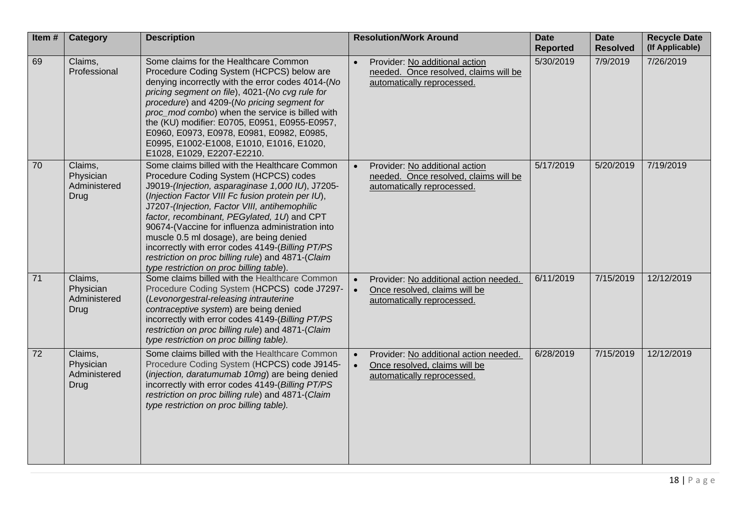| Item# | Category                                     | <b>Description</b>                                                                                                                                                                                                                                                                                                                                                                                                                                                                                                                                  | <b>Resolution/Work Around</b>                                                                                      | <b>Date</b><br><b>Reported</b> | <b>Date</b><br><b>Resolved</b> | <b>Recycle Date</b><br>(If Applicable) |
|-------|----------------------------------------------|-----------------------------------------------------------------------------------------------------------------------------------------------------------------------------------------------------------------------------------------------------------------------------------------------------------------------------------------------------------------------------------------------------------------------------------------------------------------------------------------------------------------------------------------------------|--------------------------------------------------------------------------------------------------------------------|--------------------------------|--------------------------------|----------------------------------------|
| 69    | Claims,<br>Professional                      | Some claims for the Healthcare Common<br>Procedure Coding System (HCPCS) below are<br>denying incorrectly with the error codes 4014-(No<br>pricing segment on file), 4021-(No cvg rule for<br>procedure) and 4209-(No pricing segment for<br>proc mod combo) when the service is billed with<br>the (KU) modifier: E0705, E0951, E0955-E0957,<br>E0960, E0973, E0978, E0981, E0982, E0985,<br>E0995, E1002-E1008, E1010, E1016, E1020,<br>E1028, E1029, E2207-E2210.                                                                                | Provider: No additional action<br>needed. Once resolved, claims will be<br>automatically reprocessed.              | 5/30/2019                      | 7/9/2019                       | 7/26/2019                              |
| 70    | Claims,<br>Physician<br>Administered<br>Drug | Some claims billed with the Healthcare Common<br>Procedure Coding System (HCPCS) codes<br>J9019-(Injection, asparaginase 1,000 IU), J7205-<br>(Injection Factor VIII Fc fusion protein per IU),<br>J7207-(Injection, Factor VIII, antihemophilic<br>factor, recombinant, PEGylated, 1U) and CPT<br>90674-(Vaccine for influenza administration into<br>muscle 0.5 ml dosage), are being denied<br>incorrectly with error codes 4149-(Billing PT/PS<br>restriction on proc billing rule) and 4871-(Claim<br>type restriction on proc billing table). | Provider: No additional action<br>needed. Once resolved, claims will be<br>automatically reprocessed.              | 5/17/2019                      | 5/20/2019                      | 7/19/2019                              |
| 71    | Claims,<br>Physician<br>Administered<br>Drug | Some claims billed with the Healthcare Common<br>Procedure Coding System (HCPCS) code J7297-<br>(Levonorgestral-releasing intrauterine<br>contraceptive system) are being denied<br>incorrectly with error codes 4149-(Billing PT/PS<br>restriction on proc billing rule) and 4871-(Claim<br>type restriction on proc billing table).                                                                                                                                                                                                               | Provider: No additional action needed.<br>Once resolved, claims will be<br>$\bullet$<br>automatically reprocessed. | 6/11/2019                      | 7/15/2019                      | 12/12/2019                             |
| 72    | Claims,<br>Physician<br>Administered<br>Drug | Some claims billed with the Healthcare Common<br>Procedure Coding System (HCPCS) code J9145-<br>(injection, daratumumab 10mg) are being denied<br>incorrectly with error codes 4149-(Billing PT/PS<br>restriction on proc billing rule) and 4871-(Claim<br>type restriction on proc billing table).                                                                                                                                                                                                                                                 | Provider: No additional action needed.<br>Once resolved, claims will be<br>automatically reprocessed.              | 6/28/2019                      | 7/15/2019                      | 12/12/2019                             |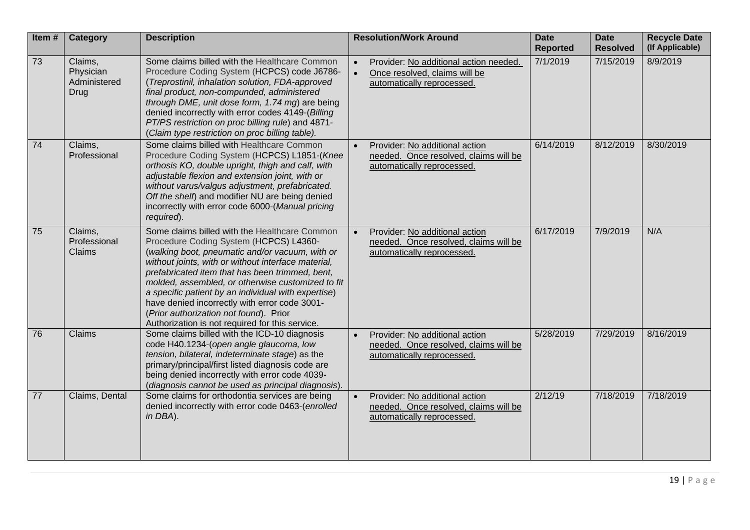| Item#           | Category                                            | <b>Description</b>                                                                                                                                                                                                                                                                                                                                                                                                                                                                                             | <b>Resolution/Work Around</b>                                                                                      | <b>Date</b><br><b>Reported</b> | <b>Date</b><br><b>Resolved</b> | <b>Recycle Date</b><br>(If Applicable) |
|-----------------|-----------------------------------------------------|----------------------------------------------------------------------------------------------------------------------------------------------------------------------------------------------------------------------------------------------------------------------------------------------------------------------------------------------------------------------------------------------------------------------------------------------------------------------------------------------------------------|--------------------------------------------------------------------------------------------------------------------|--------------------------------|--------------------------------|----------------------------------------|
| 73              | Claims,<br>Physician<br>Administered<br><b>Drug</b> | Some claims billed with the Healthcare Common<br>Procedure Coding System (HCPCS) code J6786-<br>(Treprostinil, inhalation solution, FDA-approved<br>final product, non-compunded, administered<br>through DME, unit dose form, 1.74 mg) are being<br>denied incorrectly with error codes 4149-(Billing<br>PT/PS restriction on proc billing rule) and 4871-<br>(Claim type restriction on proc billing table).                                                                                                 | Provider: No additional action needed.<br>Once resolved, claims will be<br>$\bullet$<br>automatically reprocessed. | 7/1/2019                       | 7/15/2019                      | 8/9/2019                               |
| 74              | Claims,<br>Professional                             | Some claims billed with Healthcare Common<br>Procedure Coding System (HCPCS) L1851-(Knee<br>orthosis KO, double upright, thigh and calf, with<br>adjustable flexion and extension joint, with or<br>without varus/valgus adjustment, prefabricated.<br>Off the shelf) and modifier NU are being denied<br>incorrectly with error code 6000-(Manual pricing<br>required).                                                                                                                                       | Provider: No additional action<br>needed. Once resolved, claims will be<br>automatically reprocessed.              | 6/14/2019                      | 8/12/2019                      | 8/30/2019                              |
| 75              | Claims,<br>Professional<br>Claims                   | Some claims billed with the Healthcare Common<br>Procedure Coding System (HCPCS) L4360-<br>(walking boot, pneumatic and/or vacuum, with or<br>without joints, with or without interface material,<br>prefabricated item that has been trimmed, bent,<br>molded, assembled, or otherwise customized to fit<br>a specific patient by an individual with expertise)<br>have denied incorrectly with error code 3001-<br>(Prior authorization not found). Prior<br>Authorization is not required for this service. | Provider: No additional action<br>needed. Once resolved, claims will be<br>automatically reprocessed.              | 6/17/2019                      | 7/9/2019                       | N/A                                    |
| 76              | Claims                                              | Some claims billed with the ICD-10 diagnosis<br>code H40.1234-(open angle glaucoma, low<br>tension, bilateral, indeterminate stage) as the<br>primary/principal/first listed diagnosis code are<br>being denied incorrectly with error code 4039-<br>(diagnosis cannot be used as principal diagnosis).                                                                                                                                                                                                        | Provider: No additional action<br>needed. Once resolved, claims will be<br>automatically reprocessed.              | 5/28/2019                      | 7/29/2019                      | 8/16/2019                              |
| $\overline{77}$ | Claims, Dental                                      | Some claims for orthodontia services are being<br>denied incorrectly with error code 0463-(enrolled<br>in DBA).                                                                                                                                                                                                                                                                                                                                                                                                | Provider: No additional action<br>needed. Once resolved, claims will be<br>automatically reprocessed.              | 2/12/19                        | 7/18/2019                      | 7/18/2019                              |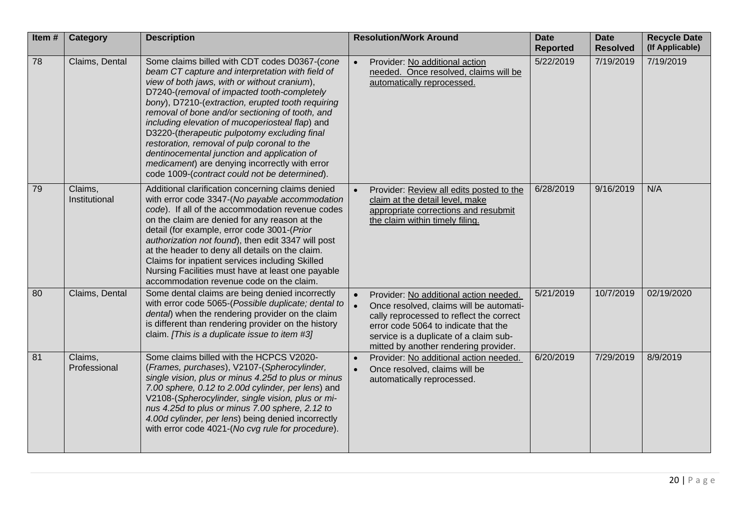| Item# | Category                 | <b>Description</b>                                                                                                                                                                                                                                                                                                                                                                                                                                                                                                                                                                                           | <b>Resolution/Work Around</b>                                                                                                                                                                                                                                         | <b>Date</b><br><b>Reported</b> | <b>Date</b><br><b>Resolved</b> | <b>Recycle Date</b><br>(If Applicable) |
|-------|--------------------------|--------------------------------------------------------------------------------------------------------------------------------------------------------------------------------------------------------------------------------------------------------------------------------------------------------------------------------------------------------------------------------------------------------------------------------------------------------------------------------------------------------------------------------------------------------------------------------------------------------------|-----------------------------------------------------------------------------------------------------------------------------------------------------------------------------------------------------------------------------------------------------------------------|--------------------------------|--------------------------------|----------------------------------------|
| 78    | Claims, Dental           | Some claims billed with CDT codes D0367-(cone<br>beam CT capture and interpretation with field of<br>view of both jaws, with or without cranium),<br>D7240-(removal of impacted tooth-completely<br>bony), D7210-(extraction, erupted tooth requiring<br>removal of bone and/or sectioning of tooth, and<br>including elevation of mucoperiosteal flap) and<br>D3220-(therapeutic pulpotomy excluding final<br>restoration, removal of pulp coronal to the<br>dentinocemental junction and application of<br>medicament) are denying incorrectly with error<br>code 1009-(contract could not be determined). | Provider: No additional action<br>$\bullet$<br>needed. Once resolved, claims will be<br>automatically reprocessed.                                                                                                                                                    | 5/22/2019                      | 7/19/2019                      | 7/19/2019                              |
| 79    | Claims,<br>Institutional | Additional clarification concerning claims denied<br>with error code 3347-(No payable accommodation<br>code). If all of the accommodation revenue codes<br>on the claim are denied for any reason at the<br>detail (for example, error code 3001-(Prior<br>authorization not found), then edit 3347 will post<br>at the header to deny all details on the claim.<br>Claims for inpatient services including Skilled<br>Nursing Facilities must have at least one payable<br>accommodation revenue code on the claim.                                                                                         | Provider: Review all edits posted to the<br>claim at the detail level, make<br>appropriate corrections and resubmit<br>the claim within timely filing.                                                                                                                | 6/28/2019                      | 9/16/2019                      | N/A                                    |
| 80    | Claims, Dental           | Some dental claims are being denied incorrectly<br>with error code 5065-(Possible duplicate; dental to<br>dental) when the rendering provider on the claim<br>is different than rendering provider on the history<br>claim. [This is a duplicate issue to item #3]                                                                                                                                                                                                                                                                                                                                           | Provider: No additional action needed.<br>Once resolved, claims will be automati-<br>$\bullet$<br>cally reprocessed to reflect the correct<br>error code 5064 to indicate that the<br>service is a duplicate of a claim sub-<br>mitted by another rendering provider. | 5/21/2019                      | 10/7/2019                      | 02/19/2020                             |
| 81    | Claims,<br>Professional  | Some claims billed with the HCPCS V2020-<br>(Frames, purchases), V2107-(Spherocylinder,<br>single vision, plus or minus 4.25d to plus or minus<br>7.00 sphere, 0.12 to 2.00d cylinder, per lens) and<br>V2108-(Spherocylinder, single vision, plus or mi-<br>nus 4.25d to plus or minus 7.00 sphere, 2.12 to<br>4.00d cylinder, per lens) being denied incorrectly<br>with error code 4021-(No cvg rule for procedure).                                                                                                                                                                                      | Provider: No additional action needed.<br>Once resolved, claims will be<br>automatically reprocessed.                                                                                                                                                                 | 6/20/2019                      | 7/29/2019                      | 8/9/2019                               |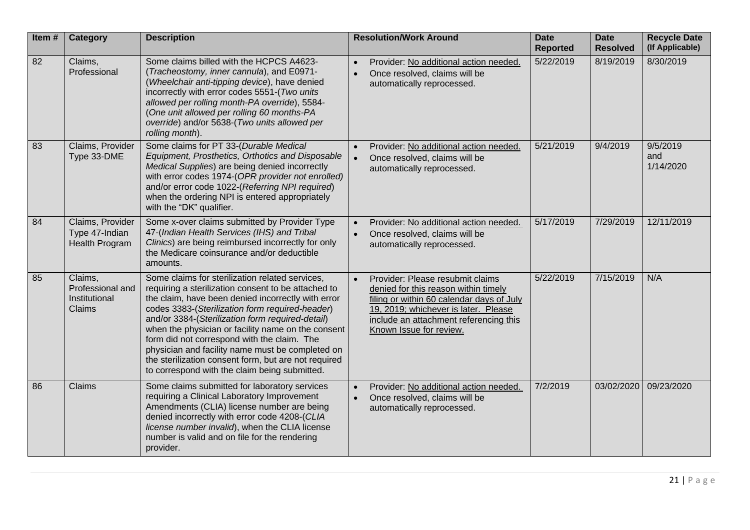| Item# | Category                                                    | <b>Description</b>                                                                                                                                                                                                                                                                                                                                                                                                                                                                                                                    | <b>Resolution/Work Around</b>                                                                                                                                                                                                                   | <b>Date</b><br><b>Reported</b> | <b>Date</b><br><b>Resolved</b> | <b>Recycle Date</b><br>(If Applicable) |
|-------|-------------------------------------------------------------|---------------------------------------------------------------------------------------------------------------------------------------------------------------------------------------------------------------------------------------------------------------------------------------------------------------------------------------------------------------------------------------------------------------------------------------------------------------------------------------------------------------------------------------|-------------------------------------------------------------------------------------------------------------------------------------------------------------------------------------------------------------------------------------------------|--------------------------------|--------------------------------|----------------------------------------|
| 82    | Claims,<br>Professional                                     | Some claims billed with the HCPCS A4623-<br>(Tracheostomy, inner cannula), and E0971-<br>(Wheelchair anti-tipping device), have denied<br>incorrectly with error codes 5551-(Two units<br>allowed per rolling month-PA override), 5584-<br>(One unit allowed per rolling 60 months-PA<br>override) and/or 5638-(Two units allowed per<br>rolling month).                                                                                                                                                                              | Provider: No additional action needed.<br>Once resolved, claims will be<br>automatically reprocessed.                                                                                                                                           | 5/22/2019                      | 8/19/2019                      | 8/30/2019                              |
| 83    | Claims, Provider<br>Type 33-DME                             | Some claims for PT 33-(Durable Medical<br>Equipment, Prosthetics, Orthotics and Disposable<br>Medical Supplies) are being denied incorrectly<br>with error codes 1974-(OPR provider not enrolled)<br>and/or error code 1022-(Referring NPI required)<br>when the ordering NPI is entered appropriately<br>with the "DK" qualifier.                                                                                                                                                                                                    | Provider: No additional action needed.<br>Once resolved, claims will be<br>automatically reprocessed.                                                                                                                                           | 5/21/2019                      | 9/4/2019                       | 9/5/2019<br>and<br>1/14/2020           |
| 84    | Claims, Provider<br>Type 47-Indian<br><b>Health Program</b> | Some x-over claims submitted by Provider Type<br>47-(Indian Health Services (IHS) and Tribal<br>Clinics) are being reimbursed incorrectly for only<br>the Medicare coinsurance and/or deductible<br>amounts.                                                                                                                                                                                                                                                                                                                          | Provider: No additional action needed.<br>Once resolved, claims will be<br>automatically reprocessed.                                                                                                                                           | 5/17/2019                      | 7/29/2019                      | 12/11/2019                             |
| 85    | Claims,<br>Professional and<br>Institutional<br>Claims      | Some claims for sterilization related services,<br>requiring a sterilization consent to be attached to<br>the claim, have been denied incorrectly with error<br>codes 3383-(Sterilization form required-header)<br>and/or 3384-(Sterilization form required-detail)<br>when the physician or facility name on the consent<br>form did not correspond with the claim. The<br>physician and facility name must be completed on<br>the sterilization consent form, but are not required<br>to correspond with the claim being submitted. | Provider: Please resubmit claims<br>$\bullet$<br>denied for this reason within timely<br>filing or within 60 calendar days of July<br>19, 2019; whichever is later. Please<br>include an attachment referencing this<br>Known Issue for review. | 5/22/2019                      | 7/15/2019                      | N/A                                    |
| 86    | Claims                                                      | Some claims submitted for laboratory services<br>requiring a Clinical Laboratory Improvement<br>Amendments (CLIA) license number are being<br>denied incorrectly with error code 4208-(CLIA<br>license number invalid), when the CLIA license<br>number is valid and on file for the rendering<br>provider.                                                                                                                                                                                                                           | Provider: No additional action needed.<br>Once resolved, claims will be<br>automatically reprocessed.                                                                                                                                           | 7/2/2019                       | 03/02/2020                     | 09/23/2020                             |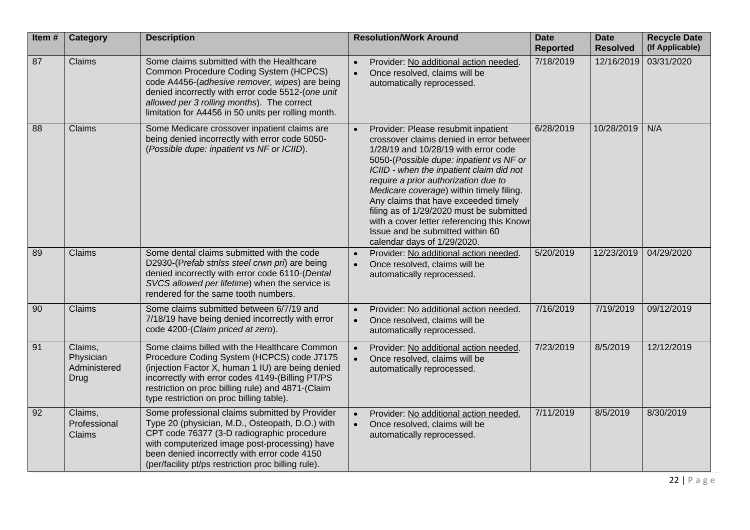| Item# | <b>Category</b>                              | <b>Description</b>                                                                                                                                                                                                                                                                                      | <b>Resolution/Work Around</b>                                                                                                                                                                                                                                                                                                                                                                                                                                                                           | <b>Date</b><br><b>Reported</b> | <b>Date</b><br><b>Resolved</b> | <b>Recycle Date</b><br>(If Applicable) |
|-------|----------------------------------------------|---------------------------------------------------------------------------------------------------------------------------------------------------------------------------------------------------------------------------------------------------------------------------------------------------------|---------------------------------------------------------------------------------------------------------------------------------------------------------------------------------------------------------------------------------------------------------------------------------------------------------------------------------------------------------------------------------------------------------------------------------------------------------------------------------------------------------|--------------------------------|--------------------------------|----------------------------------------|
| 87    | Claims                                       | Some claims submitted with the Healthcare<br>Common Procedure Coding System (HCPCS)<br>code A4456-(adhesive remover, wipes) are being<br>denied incorrectly with error code 5512-(one unit<br>allowed per 3 rolling months). The correct<br>limitation for A4456 in 50 units per rolling month.         | Provider: No additional action needed.<br>Once resolved, claims will be<br>$\bullet$<br>automatically reprocessed.                                                                                                                                                                                                                                                                                                                                                                                      | 7/18/2019                      | 12/16/2019                     | 03/31/2020                             |
| 88    | Claims                                       | Some Medicare crossover inpatient claims are<br>being denied incorrectly with error code 5050-<br>(Possible dupe: inpatient vs NF or ICIID).                                                                                                                                                            | Provider: Please resubmit inpatient<br>crossover claims denied in error betweer<br>1/28/19 and 10/28/19 with error code<br>5050-(Possible dupe: inpatient vs NF or<br>ICIID - when the inpatient claim did not<br>require a prior authorization due to<br>Medicare coverage) within timely filing.<br>Any claims that have exceeded timely<br>filing as of 1/29/2020 must be submitted<br>with a cover letter referencing this Knowr<br>Issue and be submitted within 60<br>calendar days of 1/29/2020. | 6/28/2019                      | 10/28/2019                     | N/A                                    |
| 89    | Claims                                       | Some dental claims submitted with the code<br>D2930-(Prefab stnlss steel crwn pri) are being<br>denied incorrectly with error code 6110-(Dental<br>SVCS allowed per lifetime) when the service is<br>rendered for the same tooth numbers.                                                               | Provider: No additional action needed.<br>Once resolved, claims will be<br>$\bullet$<br>automatically reprocessed.                                                                                                                                                                                                                                                                                                                                                                                      | 5/20/2019                      | 12/23/2019                     | 04/29/2020                             |
| 90    | Claims                                       | Some claims submitted between 6/7/19 and<br>7/18/19 have being denied incorrectly with error<br>code 4200-(Claim priced at zero).                                                                                                                                                                       | Provider: No additional action needed.<br>Once resolved, claims will be<br>$\bullet$<br>automatically reprocessed.                                                                                                                                                                                                                                                                                                                                                                                      | 7/16/2019                      | 7/19/2019                      | 09/12/2019                             |
| 91    | Claims,<br>Physician<br>Administered<br>Drug | Some claims billed with the Healthcare Common<br>Procedure Coding System (HCPCS) code J7175<br>(injection Factor X, human 1 IU) are being denied<br>incorrectly with error codes 4149-(Billing PT/PS<br>restriction on proc billing rule) and 4871-(Claim<br>type restriction on proc billing table).   | Provider: No additional action needed<br>Once resolved, claims will be<br>$\bullet$<br>automatically reprocessed.                                                                                                                                                                                                                                                                                                                                                                                       | 7/23/2019                      | 8/5/2019                       | 12/12/2019                             |
| 92    | Claims,<br>Professional<br>Claims            | Some professional claims submitted by Provider<br>Type 20 (physician, M.D., Osteopath, D.O.) with<br>CPT code 76377 (3-D radiographic procedure<br>with computerized image post-processing) have<br>been denied incorrectly with error code 4150<br>(per/facility pt/ps restriction proc billing rule). | Provider: No additional action needed.<br>Once resolved, claims will be<br>automatically reprocessed.                                                                                                                                                                                                                                                                                                                                                                                                   | 7/11/2019                      | 8/5/2019                       | 8/30/2019                              |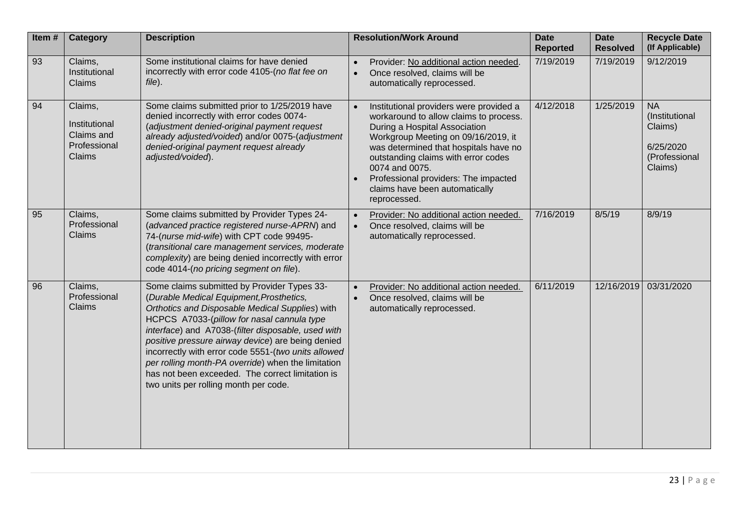| Item# | Category                                                         | <b>Description</b>                                                                                                                                                                                                                                                                                                                                                                                                                                                                                            | <b>Resolution/Work Around</b>                                                                                                                                                                                                                                                                                                                         | <b>Date</b><br><b>Reported</b> | <b>Date</b><br><b>Resolved</b> | <b>Recycle Date</b><br>(If Applicable)                                          |
|-------|------------------------------------------------------------------|---------------------------------------------------------------------------------------------------------------------------------------------------------------------------------------------------------------------------------------------------------------------------------------------------------------------------------------------------------------------------------------------------------------------------------------------------------------------------------------------------------------|-------------------------------------------------------------------------------------------------------------------------------------------------------------------------------------------------------------------------------------------------------------------------------------------------------------------------------------------------------|--------------------------------|--------------------------------|---------------------------------------------------------------------------------|
| 93    | Claims,<br>Institutional<br>Claims                               | Some institutional claims for have denied<br>incorrectly with error code 4105-(no flat fee on<br>file).                                                                                                                                                                                                                                                                                                                                                                                                       | Provider: No additional action needed.<br>Once resolved, claims will be<br>automatically reprocessed.                                                                                                                                                                                                                                                 | 7/19/2019                      | 7/19/2019                      | 9/12/2019                                                                       |
| 94    | Claims,<br>Institutional<br>Claims and<br>Professional<br>Claims | Some claims submitted prior to 1/25/2019 have<br>denied incorrectly with error codes 0074-<br>(adjustment denied-original payment request<br>already adjusted/voided) and/or 0075-(adjustment<br>denied-original payment request already<br>adjusted/voided).                                                                                                                                                                                                                                                 | Institutional providers were provided a<br>workaround to allow claims to process.<br>During a Hospital Association<br>Workgroup Meeting on 09/16/2019, it<br>was determined that hospitals have no<br>outstanding claims with error codes<br>0074 and 0075.<br>Professional providers: The impacted<br>claims have been automatically<br>reprocessed. | 4/12/2018                      | 1/25/2019                      | <b>NA</b><br>(Institutional<br>Claims)<br>6/25/2020<br>(Professional<br>Claims) |
| 95    | Claims,<br>Professional<br>Claims                                | Some claims submitted by Provider Types 24-<br>(advanced practice registered nurse-APRN) and<br>74-(nurse mid-wife) with CPT code 99495-<br>(transitional care management services, moderate<br>complexity) are being denied incorrectly with error<br>code 4014-(no pricing segment on file).                                                                                                                                                                                                                | Provider: No additional action needed.<br>Once resolved, claims will be<br>automatically reprocessed.                                                                                                                                                                                                                                                 | 7/16/2019                      | 8/5/19                         | 8/9/19                                                                          |
| 96    | Claims,<br>Professional<br>Claims                                | Some claims submitted by Provider Types 33-<br>(Durable Medical Equipment, Prosthetics,<br>Orthotics and Disposable Medical Supplies) with<br>HCPCS A7033-(pillow for nasal cannula type<br>interface) and A7038-(filter disposable, used with<br>positive pressure airway device) are being denied<br>incorrectly with error code 5551-(two units allowed<br>per rolling month-PA override) when the limitation<br>has not been exceeded. The correct limitation is<br>two units per rolling month per code. | Provider: No additional action needed.<br>Once resolved, claims will be<br>automatically reprocessed.                                                                                                                                                                                                                                                 | 6/11/2019                      | 12/16/2019                     | 03/31/2020                                                                      |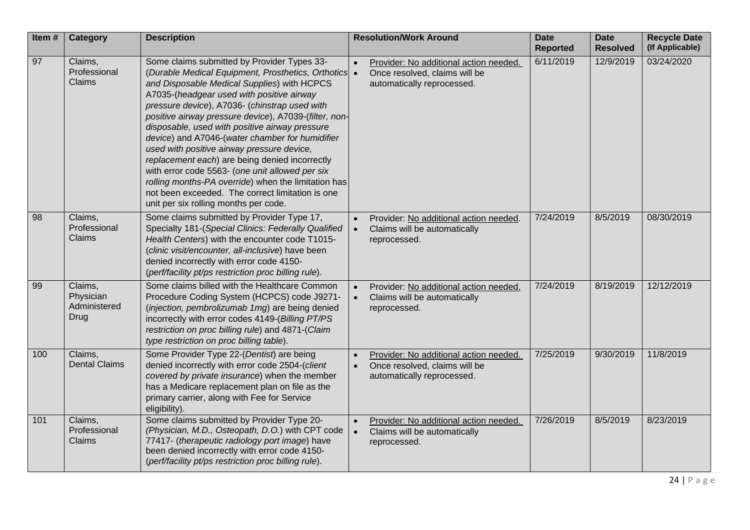| Item# | <b>Category</b>                                     | <b>Description</b>                                                                                                                                                                                                                                                                                                                                                                                                                                                                                                                                                                                                                                                                                                  | <b>Resolution/Work Around</b>                                                                                                   | <b>Date</b><br><b>Reported</b> | <b>Date</b><br><b>Resolved</b> | <b>Recycle Date</b><br>(If Applicable) |
|-------|-----------------------------------------------------|---------------------------------------------------------------------------------------------------------------------------------------------------------------------------------------------------------------------------------------------------------------------------------------------------------------------------------------------------------------------------------------------------------------------------------------------------------------------------------------------------------------------------------------------------------------------------------------------------------------------------------------------------------------------------------------------------------------------|---------------------------------------------------------------------------------------------------------------------------------|--------------------------------|--------------------------------|----------------------------------------|
| 97    | Claims,<br>Professional<br>Claims                   | Some claims submitted by Provider Types 33-<br>(Durable Medical Equipment, Prosthetics, Orthotics<br>and Disposable Medical Supplies) with HCPCS<br>A7035-(headgear used with positive airway<br>pressure device), A7036- (chinstrap used with<br>positive airway pressure device), A7039-(filter, non-<br>disposable, used with positive airway pressure<br>device) and A7046-(water chamber for humidifier<br>used with positive airway pressure device,<br>replacement each) are being denied incorrectly<br>with error code 5563- (one unit allowed per six<br>rolling months-PA override) when the limitation has<br>not been exceeded. The correct limitation is one<br>unit per six rolling months per code. | Provider: No additional action needed.<br>$\bullet$<br>Once resolved, claims will be<br>$\bullet$<br>automatically reprocessed. | 6/11/2019                      | 12/9/2019                      | 03/24/2020                             |
| 98    | Claims,<br>Professional<br>Claims                   | Some claims submitted by Provider Type 17,<br>Specialty 181-(Special Clinics: Federally Qualified<br>Health Centers) with the encounter code T1015-<br>(clinic visit/encounter, all-inclusive) have been<br>denied incorrectly with error code 4150-<br>(perf/facility pt/ps restriction proc billing rule).                                                                                                                                                                                                                                                                                                                                                                                                        | Provider: No additional action needed.<br>Claims will be automatically<br>$\bullet$<br>reprocessed.                             | 7/24/2019                      | 8/5/2019                       | 08/30/2019                             |
| 99    | Claims,<br>Physician<br>Administered<br><b>Drug</b> | Some claims billed with the Healthcare Common<br>Procedure Coding System (HCPCS) code J9271-<br>(injection, pembrolizumab 1mg) are being denied<br>incorrectly with error codes 4149-(Billing PT/PS<br>restriction on proc billing rule) and 4871-(Claim<br>type restriction on proc billing table).                                                                                                                                                                                                                                                                                                                                                                                                                | Provider: No additional action needed.<br>Claims will be automatically<br>$\bullet$<br>reprocessed.                             | 7/24/2019                      | 8/19/2019                      | 12/12/2019                             |
| 100   | Claims,<br><b>Dental Claims</b>                     | Some Provider Type 22-(Dentist) are being<br>denied incorrectly with error code 2504-(client<br>covered by private insurance) when the member<br>has a Medicare replacement plan on file as the<br>primary carrier, along with Fee for Service<br>eligibility).                                                                                                                                                                                                                                                                                                                                                                                                                                                     | Provider: No additional action needed.<br>Once resolved, claims will be<br>$\bullet$<br>automatically reprocessed.              | 7/25/2019                      | 9/30/2019                      | 11/8/2019                              |
| 101   | Claims,<br>Professional<br>Claims                   | Some claims submitted by Provider Type 20-<br>(Physician, M.D., Osteopath, D.O.) with CPT code<br>77417- (therapeutic radiology port image) have<br>been denied incorrectly with error code 4150-<br>(perf/facility pt/ps restriction proc billing rule).                                                                                                                                                                                                                                                                                                                                                                                                                                                           | Provider: No additional action needed.<br>Claims will be automatically<br>$\bullet$<br>reprocessed.                             | 7/26/2019                      | 8/5/2019                       | 8/23/2019                              |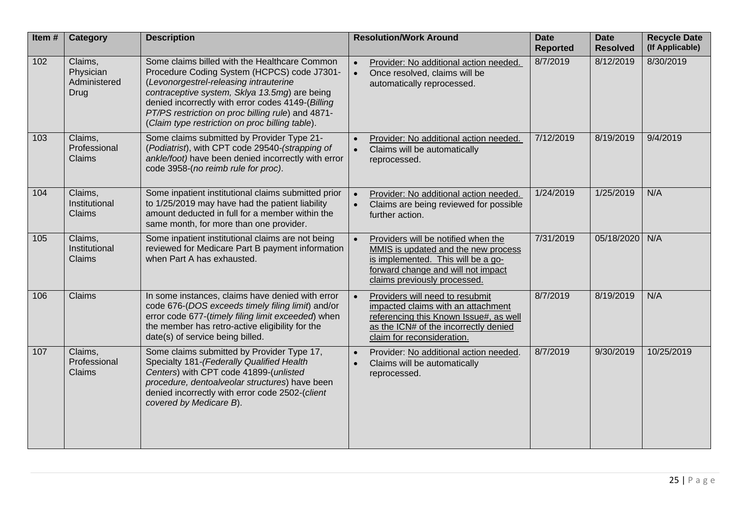| Item# | <b>Category</b>                              | <b>Description</b>                                                                                                                                                                                                                                                                                                                                   | <b>Resolution/Work Around</b>                                                                                                                                                                       | <b>Date</b><br><b>Reported</b> | <b>Date</b><br><b>Resolved</b> | <b>Recycle Date</b><br>(If Applicable) |
|-------|----------------------------------------------|------------------------------------------------------------------------------------------------------------------------------------------------------------------------------------------------------------------------------------------------------------------------------------------------------------------------------------------------------|-----------------------------------------------------------------------------------------------------------------------------------------------------------------------------------------------------|--------------------------------|--------------------------------|----------------------------------------|
| 102   | Claims,<br>Physician<br>Administered<br>Drug | Some claims billed with the Healthcare Common<br>Procedure Coding System (HCPCS) code J7301-<br>(Levonorgestrel-releasing intrauterine<br>contraceptive system, Sklya 13.5mg) are being<br>denied incorrectly with error codes 4149-(Billing<br>PT/PS restriction on proc billing rule) and 4871-<br>(Claim type restriction on proc billing table). | Provider: No additional action needed.<br>Once resolved, claims will be<br>$\bullet$<br>automatically reprocessed.                                                                                  | 8/7/2019                       | 8/12/2019                      | 8/30/2019                              |
| 103   | Claims,<br>Professional<br>Claims            | Some claims submitted by Provider Type 21-<br>(Podiatrist), with CPT code 29540-(strapping of<br>ankle/foot) have been denied incorrectly with error<br>code 3958-(no reimb rule for proc).                                                                                                                                                          | Provider: No additional action needed.<br>Claims will be automatically<br>$\bullet$<br>reprocessed.                                                                                                 | 7/12/2019                      | 8/19/2019                      | 9/4/2019                               |
| 104   | Claims,<br>Institutional<br>Claims           | Some inpatient institutional claims submitted prior<br>to 1/25/2019 may have had the patient liability<br>amount deducted in full for a member within the<br>same month, for more than one provider.                                                                                                                                                 | Provider: No additional action needed.<br>Claims are being reviewed for possible<br>$\bullet$<br>further action.                                                                                    | 1/24/2019                      | 1/25/2019                      | N/A                                    |
| 105   | Claims,<br>Institutional<br>Claims           | Some inpatient institutional claims are not being<br>reviewed for Medicare Part B payment information<br>when Part A has exhausted.                                                                                                                                                                                                                  | Providers will be notified when the<br>$\bullet$<br>MMIS is updated and the new process<br>is implemented. This will be a go-<br>forward change and will not impact<br>claims previously processed. | 7/31/2019                      | 05/18/2020                     | N/A                                    |
| 106   | Claims                                       | In some instances, claims have denied with error<br>code 676-(DOS exceeds timely filing limit) and/or<br>error code 677-(timely filing limit exceeded) when<br>the member has retro-active eligibility for the<br>date(s) of service being billed.                                                                                                   | Providers will need to resubmit<br>impacted claims with an attachment<br>referencing this Known Issue#, as well<br>as the ICN# of the incorrectly denied<br>claim for reconsideration.              | 8/7/2019                       | 8/19/2019                      | N/A                                    |
| 107   | Claims,<br>Professional<br>Claims            | Some claims submitted by Provider Type 17,<br>Specialty 181-(Federally Qualified Health<br>Centers) with CPT code 41899-(unlisted<br>procedure, dentoalveolar structures) have been<br>denied incorrectly with error code 2502-(client<br>covered by Medicare B).                                                                                    | Provider: No additional action needed.<br>Claims will be automatically<br>reprocessed.                                                                                                              | 8/7/2019                       | 9/30/2019                      | 10/25/2019                             |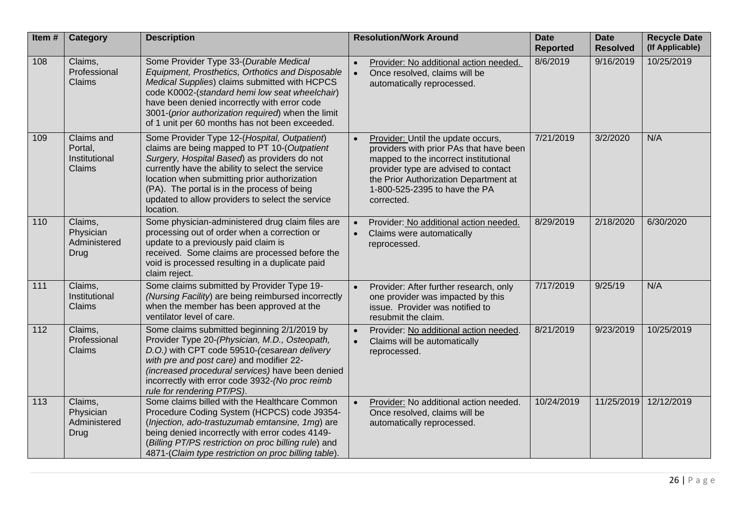| Item# | <b>Category</b>                                     | <b>Description</b>                                                                                                                                                                                                                                                                                                                                               | <b>Resolution/Work Around</b>                                                                                                                                                                                                                          | <b>Date</b><br><b>Reported</b> | <b>Date</b><br><b>Resolved</b> | <b>Recycle Date</b><br>(If Applicable) |
|-------|-----------------------------------------------------|------------------------------------------------------------------------------------------------------------------------------------------------------------------------------------------------------------------------------------------------------------------------------------------------------------------------------------------------------------------|--------------------------------------------------------------------------------------------------------------------------------------------------------------------------------------------------------------------------------------------------------|--------------------------------|--------------------------------|----------------------------------------|
| 108   | Claims,<br>Professional<br>Claims                   | Some Provider Type 33-(Durable Medical<br>Equipment, Prosthetics, Orthotics and Disposable<br>Medical Supplies) claims submitted with HCPCS<br>code K0002-(standard hemi low seat wheelchair)<br>have been denied incorrectly with error code<br>3001-(prior authorization required) when the limit<br>of 1 unit per 60 months has not been exceeded.            | Provider: No additional action needed.<br>Once resolved, claims will be<br>$\bullet$<br>automatically reprocessed.                                                                                                                                     | 8/6/2019                       | 9/16/2019                      | 10/25/2019                             |
| 109   | Claims and<br>Portal,<br>Institutional<br>Claims    | Some Provider Type 12-(Hospital, Outpatient)<br>claims are being mapped to PT 10-(Outpatient<br>Surgery, Hospital Based) as providers do not<br>currently have the ability to select the service<br>location when submitting prior authorization<br>(PA). The portal is in the process of being<br>updated to allow providers to select the service<br>location. | Provider: Until the update occurs,<br>providers with prior PAs that have been<br>mapped to the incorrect institutional<br>provider type are advised to contact<br>the Prior Authorization Department at<br>1-800-525-2395 to have the PA<br>corrected. | 7/21/2019                      | 3/2/2020                       | N/A                                    |
| 110   | Claims,<br>Physician<br>Administered<br><b>Drug</b> | Some physician-administered drug claim files are<br>processing out of order when a correction or<br>update to a previously paid claim is<br>received. Some claims are processed before the<br>void is processed resulting in a duplicate paid<br>claim reject.                                                                                                   | Provider: No additional action needed.<br>Claims were automatically<br>$\bullet$<br>reprocessed.                                                                                                                                                       | 8/29/2019                      | 2/18/2020                      | 6/30/2020                              |
| 111   | Claims,<br>Institutional<br>Claims                  | Some claims submitted by Provider Type 19-<br>(Nursing Facility) are being reimbursed incorrectly<br>when the member has been approved at the<br>ventilator level of care.                                                                                                                                                                                       | Provider: After further research, only<br>$\bullet$<br>one provider was impacted by this<br>issue. Provider was notified to<br>resubmit the claim.                                                                                                     | 7/17/2019                      | 9/25/19                        | N/A                                    |
| 112   | Claims,<br>Professional<br>Claims                   | Some claims submitted beginning 2/1/2019 by<br>Provider Type 20-(Physician, M.D., Osteopath,<br>D.O.) with CPT code 59510-(cesarean delivery<br>with pre and post care) and modifier 22-<br>(increased procedural services) have been denied<br>incorrectly with error code 3932-(No proc reimb<br>rule for rendering PT/PS).                                    | Provider: No additional action needed.<br>Claims will be automatically<br>$\bullet$<br>reprocessed.                                                                                                                                                    | 8/21/2019                      | 9/23/2019                      | 10/25/2019                             |
| 113   | Claims,<br>Physician<br>Administered<br>Drug        | Some claims billed with the Healthcare Common<br>Procedure Coding System (HCPCS) code J9354-<br>(Injection, ado-trastuzumab emtansine, 1mg) are<br>being denied incorrectly with error codes 4149-<br>(Billing PT/PS restriction on proc billing rule) and<br>4871-(Claim type restriction on proc billing table).                                               | Provider: No additional action needed.<br>Once resolved, claims will be<br>automatically reprocessed.                                                                                                                                                  | 10/24/2019                     | 11/25/2019                     | 12/12/2019                             |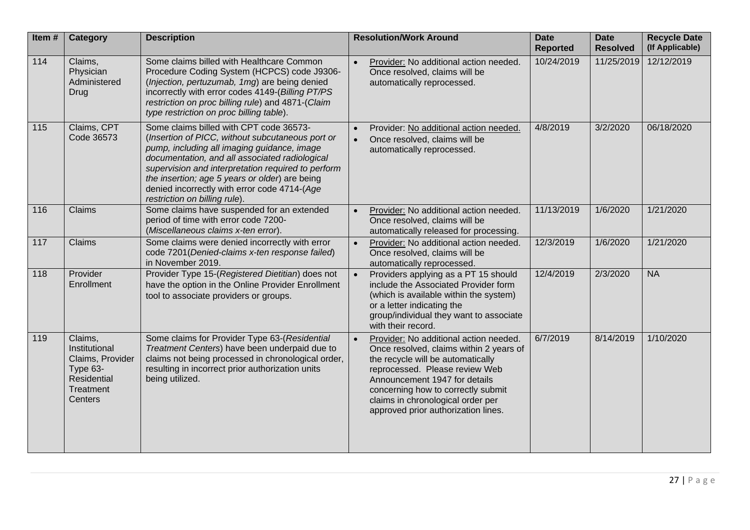| Item#             | <b>Category</b>                                                                                 | <b>Description</b>                                                                                                                                                                                                                                                                                                                                                                    | <b>Resolution/Work Around</b>                                                                                                                                                                                                                                                                                            | <b>Date</b><br><b>Reported</b> | <b>Date</b><br><b>Resolved</b> | <b>Recycle Date</b><br>(If Applicable) |
|-------------------|-------------------------------------------------------------------------------------------------|---------------------------------------------------------------------------------------------------------------------------------------------------------------------------------------------------------------------------------------------------------------------------------------------------------------------------------------------------------------------------------------|--------------------------------------------------------------------------------------------------------------------------------------------------------------------------------------------------------------------------------------------------------------------------------------------------------------------------|--------------------------------|--------------------------------|----------------------------------------|
| $\frac{114}{114}$ | Claims,<br>Physician<br>Administered<br><b>Drug</b>                                             | Some claims billed with Healthcare Common<br>Procedure Coding System (HCPCS) code J9306-<br>(Injection, pertuzumab, 1mg) are being denied<br>incorrectly with error codes 4149-(Billing PT/PS<br>restriction on proc billing rule) and 4871-(Claim<br>type restriction on proc billing table).                                                                                        | Provider: No additional action needed.<br>$\bullet$<br>Once resolved, claims will be<br>automatically reprocessed.                                                                                                                                                                                                       | 10/24/2019                     | 11/25/2019                     | 12/12/2019                             |
| 115               | Claims, CPT<br>Code 36573                                                                       | Some claims billed with CPT code 36573-<br>(Insertion of PICC, without subcutaneous port or<br>pump, including all imaging guidance, image<br>documentation, and all associated radiological<br>supervision and interpretation required to perform<br>the insertion; age 5 years or older) are being<br>denied incorrectly with error code 4714-(Age<br>restriction on billing rule). | Provider: No additional action needed.<br>Once resolved, claims will be<br>automatically reprocessed.                                                                                                                                                                                                                    | 4/8/2019                       | 3/2/2020                       | 06/18/2020                             |
| 116               | Claims                                                                                          | Some claims have suspended for an extended<br>period of time with error code 7200-<br>(Miscellaneous claims x-ten error).                                                                                                                                                                                                                                                             | Provider: No additional action needed.<br>Once resolved, claims will be<br>automatically released for processing.                                                                                                                                                                                                        | 11/13/2019                     | 1/6/2020                       | 1/21/2020                              |
| 117               | Claims                                                                                          | Some claims were denied incorrectly with error<br>code 7201 (Denied-claims x-ten response failed)<br>in November 2019.                                                                                                                                                                                                                                                                | Provider: No additional action needed.<br>$\bullet$<br>Once resolved, claims will be<br>automatically reprocessed.                                                                                                                                                                                                       | 12/3/2019                      | 1/6/2020                       | 1/21/2020                              |
| 118               | Provider<br>Enrollment                                                                          | Provider Type 15-(Registered Dietitian) does not<br>have the option in the Online Provider Enrollment<br>tool to associate providers or groups.                                                                                                                                                                                                                                       | Providers applying as a PT 15 should<br>$\bullet$<br>include the Associated Provider form<br>(which is available within the system)<br>or a letter indicating the<br>group/individual they want to associate<br>with their record.                                                                                       | 12/4/2019                      | 2/3/2020                       | <b>NA</b>                              |
| 119               | Claims,<br>Institutional<br>Claims, Provider<br>Type 63-<br>Residential<br>Treatment<br>Centers | Some claims for Provider Type 63-(Residential<br>Treatment Centers) have been underpaid due to<br>claims not being processed in chronological order,<br>resulting in incorrect prior authorization units<br>being utilized.                                                                                                                                                           | Provider: No additional action needed.<br>$\bullet$<br>Once resolved, claims within 2 years of<br>the recycle will be automatically<br>reprocessed. Please review Web<br>Announcement 1947 for details<br>concerning how to correctly submit<br>claims in chronological order per<br>approved prior authorization lines. | 6/7/2019                       | 8/14/2019                      | 1/10/2020                              |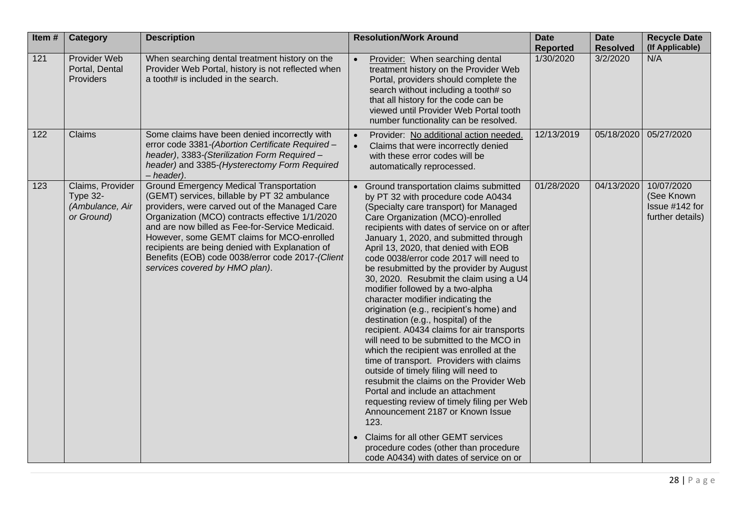| Item# | <b>Category</b>                                               | <b>Description</b>                                                                                                                                                                                                                                                                                                                                                                                                                            | <b>Resolution/Work Around</b>                                                                                                                                                                                                                                                                                                                                                                                                                                                                                                                                                                                                                                                                                                                                                                                                                                                                                                                                                                                                                                                                                         | <b>Date</b><br><b>Reported</b> | <b>Date</b><br><b>Resolved</b> | <b>Recycle Date</b><br>(If Applicable)                         |
|-------|---------------------------------------------------------------|-----------------------------------------------------------------------------------------------------------------------------------------------------------------------------------------------------------------------------------------------------------------------------------------------------------------------------------------------------------------------------------------------------------------------------------------------|-----------------------------------------------------------------------------------------------------------------------------------------------------------------------------------------------------------------------------------------------------------------------------------------------------------------------------------------------------------------------------------------------------------------------------------------------------------------------------------------------------------------------------------------------------------------------------------------------------------------------------------------------------------------------------------------------------------------------------------------------------------------------------------------------------------------------------------------------------------------------------------------------------------------------------------------------------------------------------------------------------------------------------------------------------------------------------------------------------------------------|--------------------------------|--------------------------------|----------------------------------------------------------------|
| 121   | Provider Web<br>Portal, Dental<br>Providers                   | When searching dental treatment history on the<br>Provider Web Portal, history is not reflected when<br>a tooth# is included in the search.                                                                                                                                                                                                                                                                                                   | Provider: When searching dental<br>treatment history on the Provider Web<br>Portal, providers should complete the<br>search without including a tooth# so<br>that all history for the code can be<br>viewed until Provider Web Portal tooth<br>number functionality can be resolved.                                                                                                                                                                                                                                                                                                                                                                                                                                                                                                                                                                                                                                                                                                                                                                                                                                  | 1/30/2020                      | 3/2/2020                       | N/A                                                            |
| 122   | Claims                                                        | Some claims have been denied incorrectly with<br>error code 3381-(Abortion Certificate Required -<br>header), 3383-(Sterilization Form Required -<br>header) and 3385-(Hysterectomy Form Required<br>- header).                                                                                                                                                                                                                               | Provider: No additional action needed.<br>Claims that were incorrectly denied<br>with these error codes will be<br>automatically reprocessed.                                                                                                                                                                                                                                                                                                                                                                                                                                                                                                                                                                                                                                                                                                                                                                                                                                                                                                                                                                         | 12/13/2019                     | 05/18/2020                     | 05/27/2020                                                     |
| 123   | Claims, Provider<br>Type 32-<br>(Ambulance, Air<br>or Ground) | <b>Ground Emergency Medical Transportation</b><br>(GEMT) services, billable by PT 32 ambulance<br>providers, were carved out of the Managed Care<br>Organization (MCO) contracts effective 1/1/2020<br>and are now billed as Fee-for-Service Medicaid.<br>However, some GEMT claims for MCO-enrolled<br>recipients are being denied with Explanation of<br>Benefits (EOB) code 0038/error code 2017-(Client<br>services covered by HMO plan). | Ground transportation claims submitted<br>by PT 32 with procedure code A0434<br>(Specialty care transport) for Managed<br>Care Organization (MCO)-enrolled<br>recipients with dates of service on or after<br>January 1, 2020, and submitted through<br>April 13, 2020, that denied with EOB<br>code 0038/error code 2017 will need to<br>be resubmitted by the provider by August<br>30, 2020. Resubmit the claim using a U4<br>modifier followed by a two-alpha<br>character modifier indicating the<br>origination (e.g., recipient's home) and<br>destination (e.g., hospital) of the<br>recipient. A0434 claims for air transports<br>will need to be submitted to the MCO in<br>which the recipient was enrolled at the<br>time of transport. Providers with claims<br>outside of timely filing will need to<br>resubmit the claims on the Provider Web<br>Portal and include an attachment<br>requesting review of timely filing per Web<br>Announcement 2187 or Known Issue<br>123.<br>Claims for all other GEMT services<br>procedure codes (other than procedure<br>code A0434) with dates of service on or | 01/28/2020                     | 04/13/2020                     | 10/07/2020<br>(See Known<br>Issue #142 for<br>further details) |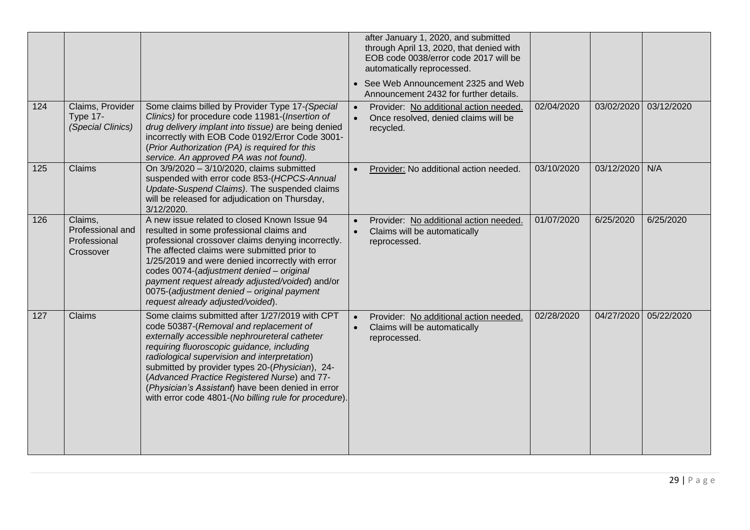| 124 | Claims, Provider<br><b>Type 17-</b><br>(Special Clinics) | Some claims billed by Provider Type 17-(Special<br>Clinics) for procedure code 11981-(Insertion of<br>drug delivery implant into tissue) are being denied<br>incorrectly with EOB Code 0192/Error Code 3001-<br>(Prior Authorization (PA) is required for this                                                                                                                                                                                           | after January 1, 2020, and submitted<br>through April 13, 2020, that denied with<br>EOB code 0038/error code 2017 will be<br>automatically reprocessed.<br>• See Web Announcement 2325 and Web<br>Announcement 2432 for further details.<br>Provider: No additional action needed.<br>Once resolved, denied claims will be<br>recycled. | 02/04/2020 | 03/02/2020 | 03/12/2020 |
|-----|----------------------------------------------------------|----------------------------------------------------------------------------------------------------------------------------------------------------------------------------------------------------------------------------------------------------------------------------------------------------------------------------------------------------------------------------------------------------------------------------------------------------------|-----------------------------------------------------------------------------------------------------------------------------------------------------------------------------------------------------------------------------------------------------------------------------------------------------------------------------------------|------------|------------|------------|
| 125 | Claims                                                   | service. An approved PA was not found).<br>On 3/9/2020 - 3/10/2020, claims submitted<br>suspended with error code 853-(HCPCS-Annual<br>Update-Suspend Claims). The suspended claims<br>will be released for adjudication on Thursday,<br>3/12/2020.                                                                                                                                                                                                      | Provider: No additional action needed.                                                                                                                                                                                                                                                                                                  | 03/10/2020 | 03/12/2020 | N/A        |
| 126 | Claims,<br>Professional and<br>Professional<br>Crossover | A new issue related to closed Known Issue 94<br>resulted in some professional claims and<br>professional crossover claims denying incorrectly.<br>The affected claims were submitted prior to<br>1/25/2019 and were denied incorrectly with error<br>codes 0074-(adjustment denied - original<br>payment request already adjusted/voided) and/or<br>0075-(adjustment denied - original payment<br>request already adjusted/voided).                      | Provider: No additional action needed.<br>Claims will be automatically<br>reprocessed.                                                                                                                                                                                                                                                  | 01/07/2020 | 6/25/2020  | 6/25/2020  |
| 127 | Claims                                                   | Some claims submitted after 1/27/2019 with CPT<br>code 50387-(Removal and replacement of<br>externally accessible nephroureteral catheter<br>requiring fluoroscopic guidance, including<br>radiological supervision and interpretation)<br>submitted by provider types 20-(Physician), 24-<br>(Advanced Practice Registered Nurse) and 77-<br>(Physician's Assistant) have been denied in error<br>with error code 4801-(No billing rule for procedure). | Provider: No additional action needed.<br>Claims will be automatically<br>reprocessed.                                                                                                                                                                                                                                                  | 02/28/2020 | 04/27/2020 | 05/22/2020 |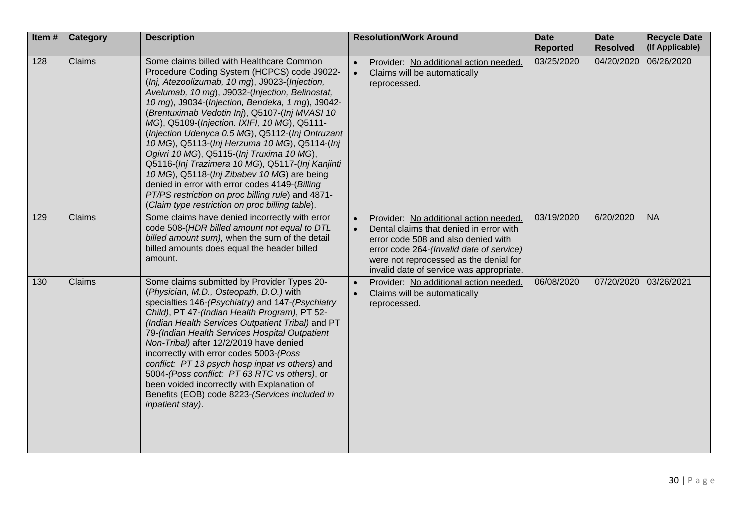| Item# | Category      | <b>Description</b>                                                                                                                                                                                                                                                                                                                                                                                                                                                                                                                                                                                                                                                                                                                                                 | <b>Resolution/Work Around</b>                                                                                                                                                                                                                              | <b>Date</b><br><b>Reported</b> | <b>Date</b><br><b>Resolved</b> | <b>Recycle Date</b><br>(If Applicable) |
|-------|---------------|--------------------------------------------------------------------------------------------------------------------------------------------------------------------------------------------------------------------------------------------------------------------------------------------------------------------------------------------------------------------------------------------------------------------------------------------------------------------------------------------------------------------------------------------------------------------------------------------------------------------------------------------------------------------------------------------------------------------------------------------------------------------|------------------------------------------------------------------------------------------------------------------------------------------------------------------------------------------------------------------------------------------------------------|--------------------------------|--------------------------------|----------------------------------------|
| 128   | Claims        | Some claims billed with Healthcare Common<br>Procedure Coding System (HCPCS) code J9022-<br>(Inj, Atezoolizumab, 10 mg), J9023-(Injection,<br>Avelumab, 10 mg), J9032-(Injection, Belinostat,<br>10 mg), J9034-(Injection, Bendeka, 1 mg), J9042-<br>(Brentuximab Vedotin Inj), Q5107-(Inj MVASI 10<br>MG), Q5109-(Injection. IXIFI, 10 MG), Q5111-<br>(Injection Udenyca 0.5 MG), Q5112-(Inj Ontruzant<br>10 MG), Q5113-(Inj Herzuma 10 MG), Q5114-(Inj<br>Ogivri 10 MG), Q5115-(Inj Truxima 10 MG),<br>Q5116-(Inj Trazimera 10 MG), Q5117-(Inj Kanjinti<br>10 MG), Q5118-(Inj Zibabev 10 MG) are being<br>denied in error with error codes 4149-(Billing<br>PT/PS restriction on proc billing rule) and 4871-<br>(Claim type restriction on proc billing table). | Provider: No additional action needed.<br>Claims will be automatically<br>$\bullet$<br>reprocessed.                                                                                                                                                        | 03/25/2020                     | 04/20/2020                     | 06/26/2020                             |
| 129   | <b>Claims</b> | Some claims have denied incorrectly with error<br>code 508-(HDR billed amount not equal to DTL<br>billed amount sum), when the sum of the detail<br>billed amounts does equal the header billed<br>amount.                                                                                                                                                                                                                                                                                                                                                                                                                                                                                                                                                         | Provider: No additional action needed.<br>Dental claims that denied in error with<br>error code 508 and also denied with<br>error code 264-(Invalid date of service)<br>were not reprocessed as the denial for<br>invalid date of service was appropriate. | 03/19/2020                     | 6/20/2020                      | <b>NA</b>                              |
| 130   | Claims        | Some claims submitted by Provider Types 20-<br>(Physician, M.D., Osteopath, D.O.) with<br>specialties 146-(Psychiatry) and 147-(Psychiatry<br>Child), PT 47-(Indian Health Program), PT 52-<br>(Indian Health Services Outpatient Tribal) and PT<br>79-(Indian Health Services Hospital Outpatient<br>Non-Tribal) after 12/2/2019 have denied<br>incorrectly with error codes 5003-(Poss<br>conflict: PT 13 psych hosp inpat vs others) and<br>5004-(Poss conflict: PT 63 RTC vs others), or<br>been voided incorrectly with Explanation of<br>Benefits (EOB) code 8223-(Services included in<br>inpatient stay).                                                                                                                                                  | Provider: No additional action needed.<br>Claims will be automatically<br>reprocessed.                                                                                                                                                                     | 06/08/2020                     | 07/20/2020                     | 03/26/2021                             |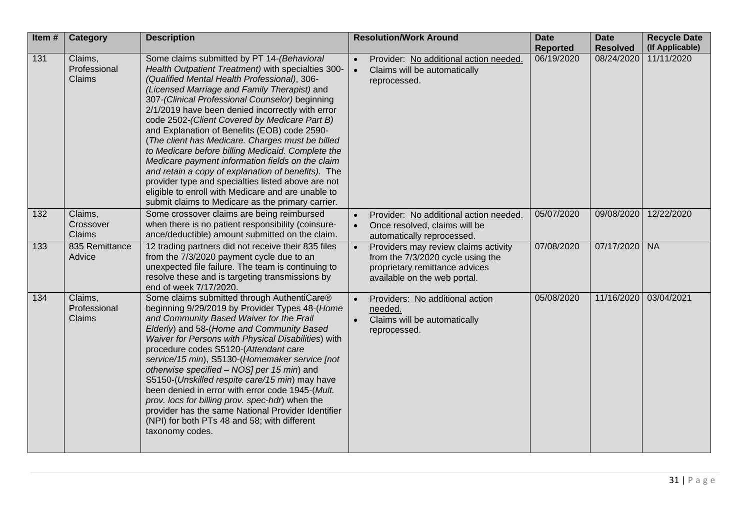| Item#            | <b>Category</b>                   | <b>Description</b>                                                                                                                                                                                                                                                                                                                                                                                                                                                                                                                                                                                                                                                                                                                                                                           | <b>Resolution/Work Around</b>                                                                                                               | <b>Date</b><br><b>Reported</b> | <b>Date</b><br><b>Resolved</b> | <b>Recycle Date</b><br>(If Applicable) |
|------------------|-----------------------------------|----------------------------------------------------------------------------------------------------------------------------------------------------------------------------------------------------------------------------------------------------------------------------------------------------------------------------------------------------------------------------------------------------------------------------------------------------------------------------------------------------------------------------------------------------------------------------------------------------------------------------------------------------------------------------------------------------------------------------------------------------------------------------------------------|---------------------------------------------------------------------------------------------------------------------------------------------|--------------------------------|--------------------------------|----------------------------------------|
| $\overline{131}$ | Claims,<br>Professional<br>Claims | Some claims submitted by PT 14-(Behavioral<br>Health Outpatient Treatment) with specialties 300-<br>(Qualified Mental Health Professional), 306-<br>(Licensed Marriage and Family Therapist) and<br>307-(Clinical Professional Counselor) beginning<br>2/1/2019 have been denied incorrectly with error<br>code 2502-(Client Covered by Medicare Part B)<br>and Explanation of Benefits (EOB) code 2590-<br>(The client has Medicare. Charges must be billed<br>to Medicare before billing Medicaid. Complete the<br>Medicare payment information fields on the claim<br>and retain a copy of explanation of benefits). The<br>provider type and specialties listed above are not<br>eligible to enroll with Medicare and are unable to<br>submit claims to Medicare as the primary carrier. | Provider: No additional action needed.<br>Claims will be automatically<br>reprocessed.                                                      | 06/19/2020                     | 08/24/2020                     | 11/11/2020                             |
| 132              | Claims,<br>Crossover<br>Claims    | Some crossover claims are being reimbursed<br>when there is no patient responsibility (coinsure-<br>ance/deductible) amount submitted on the claim.                                                                                                                                                                                                                                                                                                                                                                                                                                                                                                                                                                                                                                          | Provider: No additional action needed.<br>Once resolved, claims will be<br>automatically reprocessed.                                       | 05/07/2020                     | 09/08/2020                     | 12/22/2020                             |
| 133              | 835 Remittance<br>Advice          | 12 trading partners did not receive their 835 files<br>from the 7/3/2020 payment cycle due to an<br>unexpected file failure. The team is continuing to<br>resolve these and is targeting transmissions by<br>end of week 7/17/2020.                                                                                                                                                                                                                                                                                                                                                                                                                                                                                                                                                          | Providers may review claims activity<br>from the 7/3/2020 cycle using the<br>proprietary remittance advices<br>available on the web portal. | 07/08/2020                     | 07/17/2020                     | <b>NA</b>                              |
| 134              | Claims,<br>Professional<br>Claims | Some claims submitted through AuthentiCare®<br>beginning 9/29/2019 by Provider Types 48-(Home<br>and Community Based Waiver for the Frail<br>Elderly) and 58-(Home and Community Based<br>Waiver for Persons with Physical Disabilities) with<br>procedure codes S5120-(Attendant care<br>service/15 min), S5130-(Homemaker service [not<br>otherwise specified - NOS] per 15 min) and<br>S5150-(Unskilled respite care/15 min) may have<br>been denied in error with error code 1945-(Mult.<br>prov. locs for billing prov. spec-hdr) when the<br>provider has the same National Provider Identifier<br>(NPI) for both PTs 48 and 58; with different<br>taxonomy codes.                                                                                                                     | Providers: No additional action<br>needed.<br>Claims will be automatically<br>reprocessed.                                                  | 05/08/2020                     | 11/16/2020                     | 03/04/2021                             |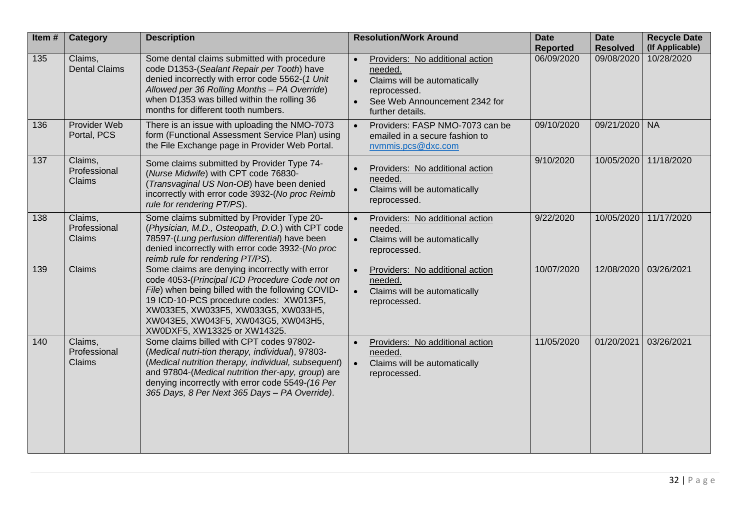| Item# | <b>Category</b>                          | <b>Description</b>                                                                                                                                                                                                                                                                                             | <b>Resolution/Work Around</b>                                                                                                                   | <b>Date</b><br><b>Reported</b> | <b>Date</b><br><b>Resolved</b> | <b>Recycle Date</b><br>(If Applicable) |
|-------|------------------------------------------|----------------------------------------------------------------------------------------------------------------------------------------------------------------------------------------------------------------------------------------------------------------------------------------------------------------|-------------------------------------------------------------------------------------------------------------------------------------------------|--------------------------------|--------------------------------|----------------------------------------|
| 135   | Claims,<br><b>Dental Claims</b>          | Some dental claims submitted with procedure<br>code D1353-(Sealant Repair per Tooth) have<br>denied incorrectly with error code 5562-(1 Unit<br>Allowed per 36 Rolling Months - PA Override)<br>when D1353 was billed within the rolling 36<br>months for different tooth numbers.                             | Providers: No additional action<br>needed.<br>Claims will be automatically<br>reprocessed.<br>See Web Announcement 2342 for<br>further details. | 06/09/2020                     | 09/08/2020                     | 10/28/2020                             |
| 136   | Provider Web<br>Portal, PCS              | There is an issue with uploading the NMO-7073<br>form (Functional Assessment Service Plan) using<br>the File Exchange page in Provider Web Portal.                                                                                                                                                             | Providers: FASP NMO-7073 can be<br>emailed in a secure fashion to<br>nvmmis.pcs@dxc.com                                                         | 09/10/2020                     | 09/21/2020                     | <b>NA</b>                              |
| 137   | Claims,<br>Professional<br><b>Claims</b> | Some claims submitted by Provider Type 74-<br>(Nurse Midwife) with CPT code 76830-<br>(Transvaginal US Non-OB) have been denied<br>incorrectly with error code 3932-(No proc Reimb<br>rule for rendering PT/PS).                                                                                               | Providers: No additional action<br>needed.<br>Claims will be automatically<br>$\bullet$<br>reprocessed.                                         | 9/10/2020                      | 10/05/2020                     | 11/18/2020                             |
| 138   | Claims,<br>Professional<br><b>Claims</b> | Some claims submitted by Provider Type 20-<br>(Physician, M.D., Osteopath, D.O.) with CPT code<br>78597-(Lung perfusion differential) have been<br>denied incorrectly with error code 3932-(No proc<br>reimb rule for rendering PT/PS).                                                                        | Providers: No additional action<br>$\bullet$<br>needed.<br>Claims will be automatically<br>$\bullet$<br>reprocessed.                            | 9/22/2020                      | 10/05/2020                     | 11/17/2020                             |
| 139   | <b>Claims</b>                            | Some claims are denying incorrectly with error<br>code 4053-(Principal ICD Procedure Code not on<br>File) when being billed with the following COVID-<br>19 ICD-10-PCS procedure codes: XW013F5,<br>XW033E5, XW033F5, XW033G5, XW033H5,<br>XW043E5, XW043F5, XW043G5, XW043H5,<br>XW0DXF5, XW13325 or XW14325. | Providers: No additional action<br>needed.<br>Claims will be automatically<br>reprocessed.                                                      | 10/07/2020                     | 12/08/2020                     | 03/26/2021                             |
| 140   | Claims,<br>Professional<br><b>Claims</b> | Some claims billed with CPT codes 97802-<br>(Medical nutri-tion therapy, individual), 97803-<br>(Medical nutrition therapy, individual, subsequent)<br>and 97804-(Medical nutrition ther-apy, group) are<br>denying incorrectly with error code 5549-(16 Per<br>365 Days, 8 Per Next 365 Days - PA Override).  | Providers: No additional action<br>needed.<br>Claims will be automatically<br>reprocessed.                                                      | 11/05/2020                     | 01/20/2021                     | 03/26/2021                             |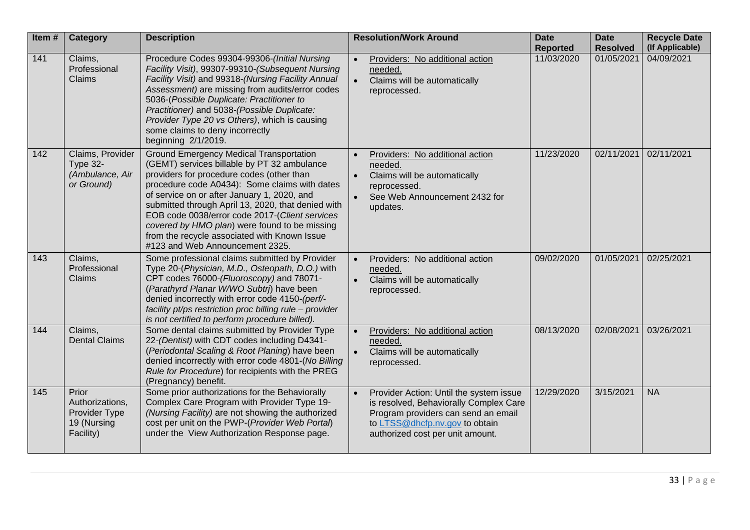| Item# | <b>Category</b>                                                       | <b>Description</b>                                                                                                                                                                                                                                                                                                                                                                                                                                                                     | <b>Resolution/Work Around</b>                                                                                                                                                                  | <b>Date</b><br><b>Reported</b> | <b>Date</b><br><b>Resolved</b> | <b>Recycle Date</b><br>(If Applicable) |
|-------|-----------------------------------------------------------------------|----------------------------------------------------------------------------------------------------------------------------------------------------------------------------------------------------------------------------------------------------------------------------------------------------------------------------------------------------------------------------------------------------------------------------------------------------------------------------------------|------------------------------------------------------------------------------------------------------------------------------------------------------------------------------------------------|--------------------------------|--------------------------------|----------------------------------------|
| 141   | Claims,<br>Professional<br>Claims                                     | Procedure Codes 99304-99306-(Initial Nursing<br>Facility Visit), 99307-99310-(Subsequent Nursing<br>Facility Visit) and 99318-(Nursing Facility Annual<br>Assessment) are missing from audits/error codes<br>5036-(Possible Duplicate: Practitioner to<br>Practitioner) and 5038-(Possible Duplicate:<br>Provider Type 20 vs Others), which is causing<br>some claims to deny incorrectly<br>beginning 2/1/2019.                                                                       | Providers: No additional action<br>needed.<br>Claims will be automatically<br>reprocessed.                                                                                                     | 11/03/2020                     | 01/05/2021                     | 04/09/2021                             |
| 142   | Claims, Provider<br>Type 32-<br>(Ambulance, Air<br>or Ground)         | <b>Ground Emergency Medical Transportation</b><br>(GEMT) services billable by PT 32 ambulance<br>providers for procedure codes (other than<br>procedure code A0434): Some claims with dates<br>of service on or after January 1, 2020, and<br>submitted through April 13, 2020, that denied with<br>EOB code 0038/error code 2017-(Client services<br>covered by HMO plan) were found to be missing<br>from the recycle associated with Known Issue<br>#123 and Web Announcement 2325. | Providers: No additional action<br>needed.<br>Claims will be automatically<br>reprocessed.<br>See Web Announcement 2432 for<br>$\bullet$<br>updates.                                           | 11/23/2020                     | 02/11/2021                     | 02/11/2021                             |
| 143   | Claims,<br>Professional<br>Claims                                     | Some professional claims submitted by Provider<br>Type 20-(Physician, M.D., Osteopath, D.O.) with<br>CPT codes 76000-(Fluoroscopy) and 78071-<br>(Parathyrd Planar W/WO Subtrj) have been<br>denied incorrectly with error code 4150-(perf/-<br>facility pt/ps restriction proc billing rule - provider<br>is not certified to perform procedure billed).                                                                                                                              | Providers: No additional action<br>needed.<br>Claims will be automatically<br>reprocessed.                                                                                                     | 09/02/2020                     | 01/05/2021                     | 02/25/2021                             |
| 144   | Claims,<br><b>Dental Claims</b>                                       | Some dental claims submitted by Provider Type<br>22-(Dentist) with CDT codes including D4341-<br>(Periodontal Scaling & Root Planing) have been<br>denied incorrectly with error code 4801-(No Billing<br>Rule for Procedure) for recipients with the PREG<br>(Pregnancy) benefit.                                                                                                                                                                                                     | Providers: No additional action<br>needed.<br>Claims will be automatically<br>reprocessed.                                                                                                     | 08/13/2020                     | 02/08/2021                     | 03/26/2021                             |
| 145   | Prior<br>Authorizations,<br>Provider Type<br>19 (Nursing<br>Facility) | Some prior authorizations for the Behaviorally<br>Complex Care Program with Provider Type 19-<br>(Nursing Facility) are not showing the authorized<br>cost per unit on the PWP-(Provider Web Portal)<br>under the View Authorization Response page.                                                                                                                                                                                                                                    | Provider Action: Until the system issue<br>is resolved, Behaviorally Complex Care<br>Program providers can send an email<br>to LTSS@dhcfp.nv.gov to obtain<br>authorized cost per unit amount. | 12/29/2020                     | 3/15/2021                      | <b>NA</b>                              |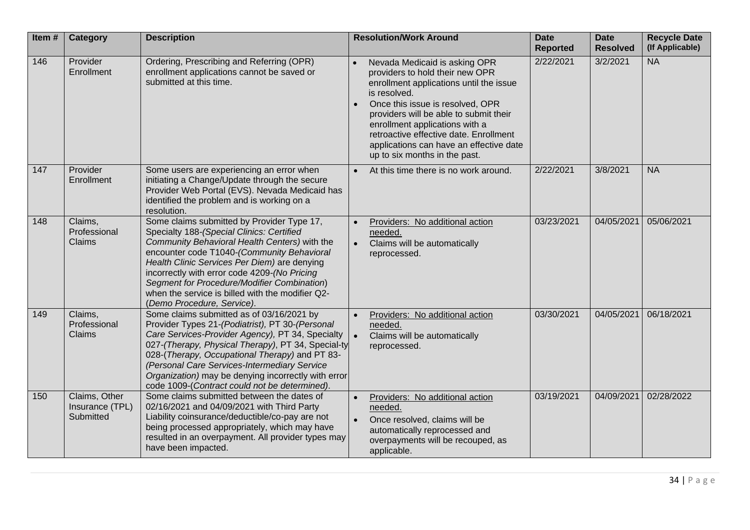| Item# | <b>Category</b>                               | <b>Description</b>                                                                                                                                                                                                                                                                                                                                                                                                      | <b>Resolution/Work Around</b>                                                                                                                                                                                                                                                                                                                                     | <b>Date</b><br><b>Reported</b> | <b>Date</b><br><b>Resolved</b> | <b>Recycle Date</b><br>(If Applicable) |
|-------|-----------------------------------------------|-------------------------------------------------------------------------------------------------------------------------------------------------------------------------------------------------------------------------------------------------------------------------------------------------------------------------------------------------------------------------------------------------------------------------|-------------------------------------------------------------------------------------------------------------------------------------------------------------------------------------------------------------------------------------------------------------------------------------------------------------------------------------------------------------------|--------------------------------|--------------------------------|----------------------------------------|
| 146   | Provider<br>Enrollment                        | Ordering, Prescribing and Referring (OPR)<br>enrollment applications cannot be saved or<br>submitted at this time.                                                                                                                                                                                                                                                                                                      | Nevada Medicaid is asking OPR<br>providers to hold their new OPR<br>enrollment applications until the issue<br>is resolved.<br>Once this issue is resolved, OPR<br>providers will be able to submit their<br>enrollment applications with a<br>retroactive effective date. Enrollment<br>applications can have an effective date<br>up to six months in the past. | 2/22/2021                      | 3/2/2021                       | <b>NA</b>                              |
| 147   | Provider<br>Enrollment                        | Some users are experiencing an error when<br>initiating a Change/Update through the secure<br>Provider Web Portal (EVS). Nevada Medicaid has<br>identified the problem and is working on a<br>resolution.                                                                                                                                                                                                               | At this time there is no work around.<br>$\bullet$                                                                                                                                                                                                                                                                                                                | 2/22/2021                      | 3/8/2021                       | <b>NA</b>                              |
| 148   | Claims,<br>Professional<br>Claims             | Some claims submitted by Provider Type 17,<br>Specialty 188-(Special Clinics: Certified<br>Community Behavioral Health Centers) with the<br>encounter code T1040-(Community Behavioral<br>Health Clinic Services Per Diem) are denying<br>incorrectly with error code 4209-(No Pricing<br>Segment for Procedure/Modifier Combination)<br>when the service is billed with the modifier Q2-<br>(Demo Procedure, Service). | Providers: No additional action<br>needed.<br>Claims will be automatically<br>$\bullet$<br>reprocessed.                                                                                                                                                                                                                                                           | 03/23/2021                     | 04/05/2021                     | 05/06/2021                             |
| 149   | Claims,<br>Professional<br>Claims             | Some claims submitted as of 03/16/2021 by<br>Provider Types 21-(Podiatrist), PT 30-(Personal<br>Care Services-Provider Agency), PT 34, Specialty<br>027-(Therapy, Physical Therapy), PT 34, Special-ty<br>028-(Therapy, Occupational Therapy) and PT 83-<br>(Personal Care Services-Intermediary Service<br>Organization) may be denying incorrectly with error<br>code 1009-(Contract could not be determined).        | Providers: No additional action<br>$\bullet$<br>needed.<br>Claims will be automatically<br>$\bullet$<br>reprocessed.                                                                                                                                                                                                                                              | 03/30/2021                     | 04/05/2021                     | 06/18/2021                             |
| 150   | Claims, Other<br>Insurance (TPL)<br>Submitted | Some claims submitted between the dates of<br>02/16/2021 and 04/09/2021 with Third Party<br>Liability coinsurance/deductible/co-pay are not<br>being processed appropriately, which may have<br>resulted in an overpayment. All provider types may<br>have been impacted.                                                                                                                                               | Providers: No additional action<br>needed.<br>Once resolved, claims will be<br>$\bullet$<br>automatically reprocessed and<br>overpayments will be recouped, as<br>applicable.                                                                                                                                                                                     | 03/19/2021                     | 04/09/2021                     | 02/28/2022                             |